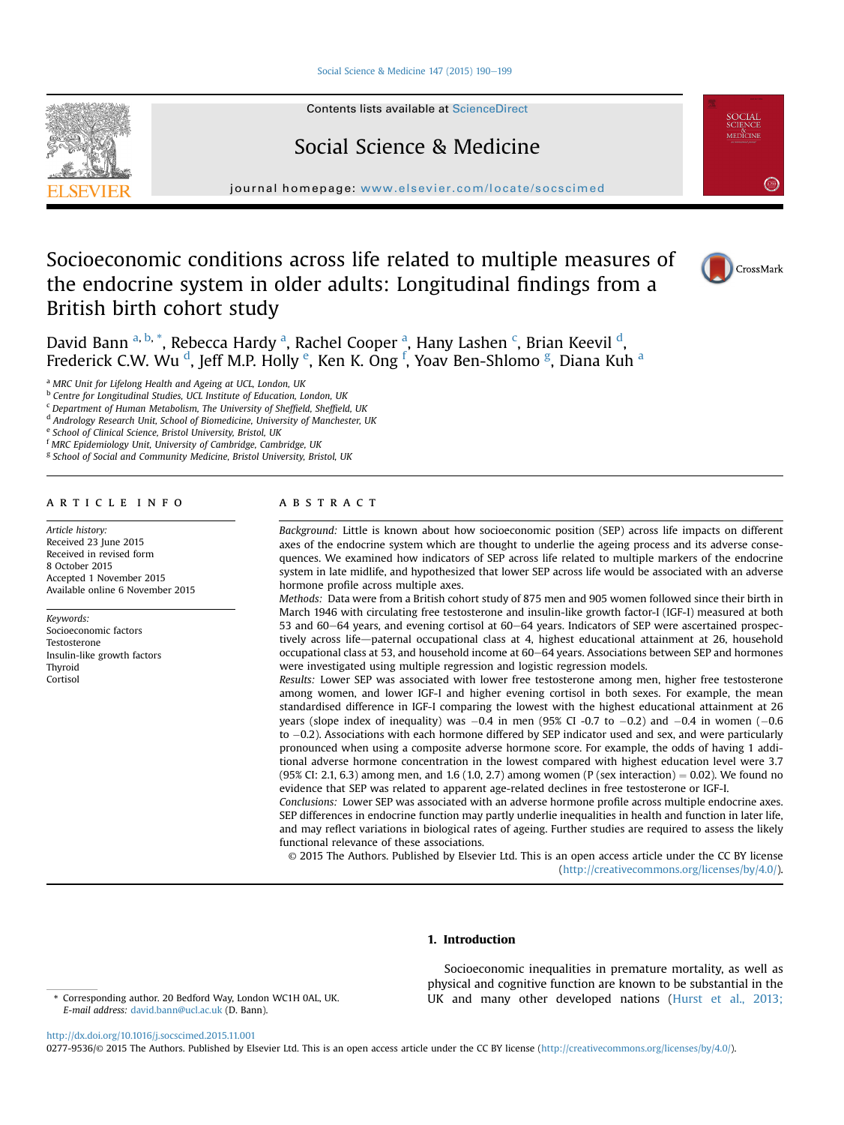#### [Social Science & Medicine 147 \(2015\) 190](http://dx.doi.org/10.1016/j.socscimed.2015.11.001)-[199](http://dx.doi.org/10.1016/j.socscimed.2015.11.001)



# Social Science & Medicine

journal homepage: [www.elsevier.com/locate/socscimed](http://www.elsevier.com/locate/socscimed)

# Socioeconomic conditions across life related to multiple measures of the endocrine system in older adults: Longitudinal findings from a British birth cohort study



David Bann <sup>a, b,</sup> \*, Rebecca Hardy <sup>a</sup>, Rachel Cooper <sup>a</sup>, Hany Lashen <sup>c</sup>, Brian Keevil <sup>d</sup>, Frederick C.W. Wu <sup>d</sup>, Jeff M.P. Holly <sup>e</sup>, Ken K. Ong <sup>f</sup>, Yoav Ben-Shlomo <sup>g</sup>, Diana Kuh <sup>a</sup>

<sup>a</sup> MRC Unit for Lifelong Health and Ageing at UCL, London, UK

**b** Centre for Longitudinal Studies, UCL Institute of Education, London, UK

<sup>c</sup> Department of Human Metabolism, The University of Sheffield, Sheffield, UK

<sup>d</sup> Andrology Research Unit, School of Biomedicine, University of Manchester, UK

<sup>e</sup> School of Clinical Science, Bristol University, Bristol, UK

<sup>f</sup> MRC Epidemiology Unit, University of Cambridge, Cambridge, UK

<sup>g</sup> School of Social and Community Medicine, Bristol University, Bristol, UK

# article info

Article history: Received 23 June 2015 Received in revised form 8 October 2015 Accepted 1 November 2015 Available online 6 November 2015

Keywords: Socioeconomic factors Testosterone Insulin-like growth factors Thyroid Cortisol

# ABSTRACT

Background: Little is known about how socioeconomic position (SEP) across life impacts on different axes of the endocrine system which are thought to underlie the ageing process and its adverse consequences. We examined how indicators of SEP across life related to multiple markers of the endocrine system in late midlife, and hypothesized that lower SEP across life would be associated with an adverse hormone profile across multiple axes.

Methods: Data were from a British cohort study of 875 men and 905 women followed since their birth in March 1946 with circulating free testosterone and insulin-like growth factor-I (IGF-I) measured at both 53 and 60–64 years, and evening cortisol at 60–64 years. Indicators of SEP were ascertained prospectively across life-paternal occupational class at 4, highest educational attainment at 26, household occupational class at 53, and household income at 60–64 years. Associations between SEP and hormones were investigated using multiple regression and logistic regression models.

Results: Lower SEP was associated with lower free testosterone among men, higher free testosterone among women, and lower IGF-I and higher evening cortisol in both sexes. For example, the mean standardised difference in IGF-I comparing the lowest with the highest educational attainment at 26 years (slope index of inequality) was  $-0.4$  in men (95% CI -0.7 to  $-0.2$ ) and  $-0.4$  in women ( $-0.6$ ) to  $-0.2$ ). Associations with each hormone differed by SEP indicator used and sex, and were particularly pronounced when using a composite adverse hormone score. For example, the odds of having 1 additional adverse hormone concentration in the lowest compared with highest education level were 3.7 (95% CI: 2.1, 6.3) among men, and 1.6 (1.0, 2.7) among women (P (sex interaction) = 0.02). We found no evidence that SEP was related to apparent age-related declines in free testosterone or IGF-I.

Conclusions: Lower SEP was associated with an adverse hormone profile across multiple endocrine axes. SEP differences in endocrine function may partly underlie inequalities in health and function in later life, and may reflect variations in biological rates of ageing. Further studies are required to assess the likely functional relevance of these associations.

© 2015 The Authors. Published by Elsevier Ltd. This is an open access article under the CC BY license [\(http://creativecommons.org/licenses/by/4.0/](http://creativecommons.org/licenses/by/4.�0/)).

## 1. Introduction

Socioeconomic inequalities in premature mortality, as well as physical and cognitive function are known to be substantial in the \* Corresponding author. 20 Bedford Way, London WC1H 0AL, UK. UK and many other developed nations ([Hurst et al., 2013;](#page-8-0)

E-mail address: [david.bann@ucl.ac.uk](mailto:david.bann@ucl.ac.uk) (D. Bann).

<http://dx.doi.org/10.1016/j.socscimed.2015.11.001>

0277-9536/© 2015 The Authors. Published by Elsevier Ltd. This is an open access article under the CC BY license [\(http://creativecommons.org/licenses/by/4.0/\)](http://creativecommons.org/licenses/by/4.�0/).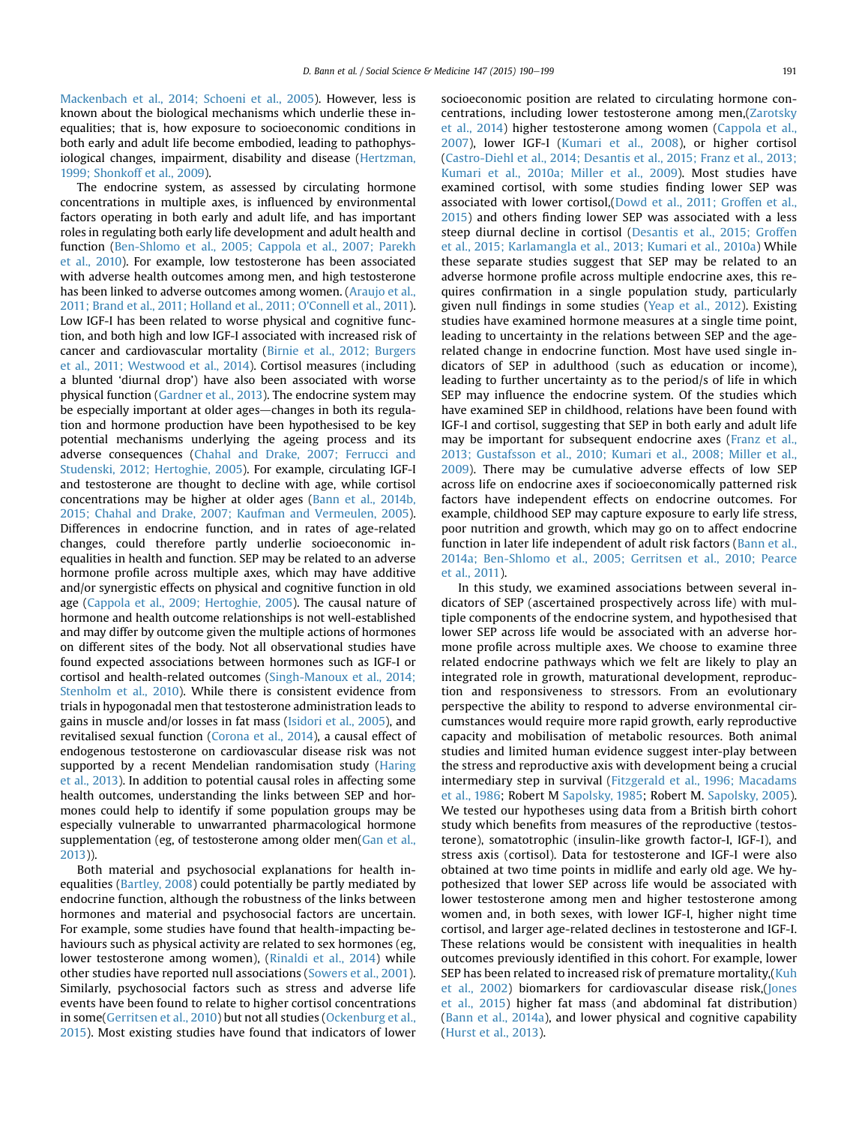[Mackenbach et al., 2014; Schoeni et al., 2005\)](#page-8-0). However, less is known about the biological mechanisms which underlie these inequalities; that is, how exposure to socioeconomic conditions in both early and adult life become embodied, leading to pathophysiological changes, impairment, disability and disease ([Hertzman,](#page-8-0) [1999; Shonkoff et al., 2009](#page-8-0)).

The endocrine system, as assessed by circulating hormone concentrations in multiple axes, is influenced by environmental factors operating in both early and adult life, and has important roles in regulating both early life development and adult health and function ([Ben-Shlomo et al., 2005; Cappola et al., 2007; Parekh](#page-8-0) [et al., 2010\)](#page-8-0). For example, low testosterone has been associated with adverse health outcomes among men, and high testosterone has been linked to adverse outcomes among women. ([Araujo et al.,](#page-8-0) [2011; Brand et al., 2011; Holland et al., 2011; O'Connell et al., 2011\)](#page-8-0). Low IGF-I has been related to worse physical and cognitive function, and both high and low IGF-I associated with increased risk of cancer and cardiovascular mortality ([Birnie et al., 2012; Burgers](#page-8-0) [et al., 2011; Westwood et al., 2014\)](#page-8-0). Cortisol measures (including a blunted 'diurnal drop') have also been associated with worse physical function [\(Gardner et al., 2013](#page-8-0)). The endocrine system may be especially important at older ages—changes in both its regulation and hormone production have been hypothesised to be key potential mechanisms underlying the ageing process and its adverse consequences [\(Chahal and Drake, 2007; Ferrucci and](#page-8-0) [Studenski, 2012; Hertoghie, 2005](#page-8-0)). For example, circulating IGF-I and testosterone are thought to decline with age, while cortisol concentrations may be higher at older ages ([Bann et al., 2014b,](#page-8-0) [2015; Chahal and Drake, 2007; Kaufman and Vermeulen, 2005\)](#page-8-0). Differences in endocrine function, and in rates of age-related changes, could therefore partly underlie socioeconomic inequalities in health and function. SEP may be related to an adverse hormone profile across multiple axes, which may have additive and/or synergistic effects on physical and cognitive function in old age ([Cappola et al., 2009; Hertoghie, 2005\)](#page-8-0). The causal nature of hormone and health outcome relationships is not well-established and may differ by outcome given the multiple actions of hormones on different sites of the body. Not all observational studies have found expected associations between hormones such as IGF-I or cortisol and health-related outcomes [\(Singh-Manoux et al., 2014;](#page-9-0) [Stenholm et al., 2010](#page-9-0)). While there is consistent evidence from trials in hypogonadal men that testosterone administration leads to gains in muscle and/or losses in fat mass [\(Isidori et al., 2005\)](#page-8-0), and revitalised sexual function [\(Corona et al., 2014](#page-8-0)), a causal effect of endogenous testosterone on cardiovascular disease risk was not supported by a recent Mendelian randomisation study ([Haring](#page-8-0) [et al., 2013\)](#page-8-0). In addition to potential causal roles in affecting some health outcomes, understanding the links between SEP and hormones could help to identify if some population groups may be especially vulnerable to unwarranted pharmacological hormone supplementation (eg, of testosterone among older men([Gan et al.,](#page-8-0) [2013\)](#page-8-0)).

Both material and psychosocial explanations for health inequalities [\(Bartley, 2008](#page-8-0)) could potentially be partly mediated by endocrine function, although the robustness of the links between hormones and material and psychosocial factors are uncertain. For example, some studies have found that health-impacting behaviours such as physical activity are related to sex hormones (eg, lower testosterone among women), [\(Rinaldi et al., 2014](#page-9-0)) while other studies have reported null associations ([Sowers et al., 2001\)](#page-9-0). Similarly, psychosocial factors such as stress and adverse life events have been found to relate to higher cortisol concentrations in some[\(Gerritsen et al., 2010](#page-8-0)) but not all studies [\(Ockenburg et al.,](#page-8-0) [2015](#page-8-0)). Most existing studies have found that indicators of lower socioeconomic position are related to circulating hormone concentrations, including lower testosterone among men,([Zarotsky](#page-9-0) [et al., 2014](#page-9-0)) higher testosterone among women ([Cappola et al.,](#page-8-0) [2007](#page-8-0)), lower IGF-I ([Kumari et al., 2008](#page-8-0)), or higher cortisol ([Castro-Diehl et al., 2014; Desantis et al., 2015; Franz et al., 2013;](#page-8-0) [Kumari et al., 2010a; Miller et al., 2009](#page-8-0)). Most studies have examined cortisol, with some studies finding lower SEP was associated with lower cortisol,[\(Dowd et al., 2011; Groffen et al.,](#page-8-0) [2015](#page-8-0)) and others finding lower SEP was associated with a less steep diurnal decline in cortisol ([Desantis et al., 2015; Groffen](#page-8-0) [et al., 2015; Karlamangla et al., 2013; Kumari et al., 2010a\)](#page-8-0) While these separate studies suggest that SEP may be related to an adverse hormone profile across multiple endocrine axes, this requires confirmation in a single population study, particularly given null findings in some studies ([Yeap et al., 2012](#page-9-0)). Existing studies have examined hormone measures at a single time point, leading to uncertainty in the relations between SEP and the agerelated change in endocrine function. Most have used single indicators of SEP in adulthood (such as education or income), leading to further uncertainty as to the period/s of life in which SEP may influence the endocrine system. Of the studies which have examined SEP in childhood, relations have been found with IGF-I and cortisol, suggesting that SEP in both early and adult life may be important for subsequent endocrine axes ([Franz et al.,](#page-8-0) [2013; Gustafsson et al., 2010; Kumari et al., 2008; Miller et al.,](#page-8-0) [2009](#page-8-0)). There may be cumulative adverse effects of low SEP across life on endocrine axes if socioeconomically patterned risk factors have independent effects on endocrine outcomes. For example, childhood SEP may capture exposure to early life stress, poor nutrition and growth, which may go on to affect endocrine function in later life independent of adult risk factors ([Bann et al.,](#page-8-0) [2014a; Ben-Shlomo et al., 2005; Gerritsen et al., 2010; Pearce](#page-8-0) [et al., 2011\)](#page-8-0).

In this study, we examined associations between several indicators of SEP (ascertained prospectively across life) with multiple components of the endocrine system, and hypothesised that lower SEP across life would be associated with an adverse hormone profile across multiple axes. We choose to examine three related endocrine pathways which we felt are likely to play an integrated role in growth, maturational development, reproduction and responsiveness to stressors. From an evolutionary perspective the ability to respond to adverse environmental circumstances would require more rapid growth, early reproductive capacity and mobilisation of metabolic resources. Both animal studies and limited human evidence suggest inter-play between the stress and reproductive axis with development being a crucial intermediary step in survival ([Fitzgerald et al., 1996; Macadams](#page-8-0) [et al., 1986](#page-8-0); Robert M [Sapolsky, 1985;](#page-9-0) Robert M. [Sapolsky, 2005\)](#page-9-0). We tested our hypotheses using data from a British birth cohort study which benefits from measures of the reproductive (testosterone), somatotrophic (insulin-like growth factor-I, IGF-I), and stress axis (cortisol). Data for testosterone and IGF-I were also obtained at two time points in midlife and early old age. We hypothesized that lower SEP across life would be associated with lower testosterone among men and higher testosterone among women and, in both sexes, with lower IGF-I, higher night time cortisol, and larger age-related declines in testosterone and IGF-I. These relations would be consistent with inequalities in health outcomes previously identified in this cohort. For example, lower SEP has been related to increased risk of premature mortality,[\(Kuh](#page-8-0) [et al., 2002\)](#page-8-0) biomarkers for cardiovascular disease risk,([Jones](#page-8-0) [et al., 2015](#page-8-0)) higher fat mass (and abdominal fat distribution) ([Bann et al., 2014a](#page-8-0)), and lower physical and cognitive capability ([Hurst et al., 2013](#page-8-0)).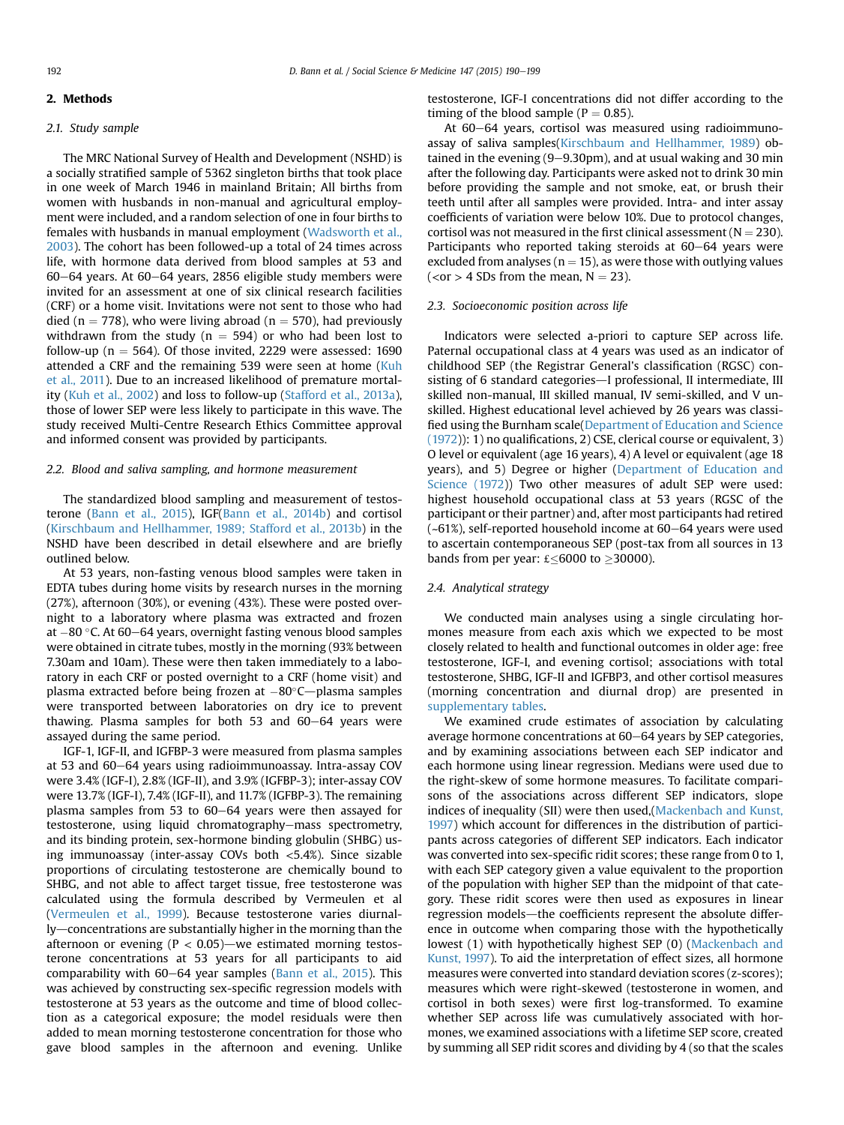## 2. Methods

## 2.1. Study sample

The MRC National Survey of Health and Development (NSHD) is a socially stratified sample of 5362 singleton births that took place in one week of March 1946 in mainland Britain; All births from women with husbands in non-manual and agricultural employment were included, and a random selection of one in four births to females with husbands in manual employment [\(Wadsworth et al.,](#page-9-0) [2003](#page-9-0)). The cohort has been followed-up a total of 24 times across life, with hormone data derived from blood samples at 53 and  $60-64$  years. At  $60-64$  years, 2856 eligible study members were invited for an assessment at one of six clinical research facilities (CRF) or a home visit. Invitations were not sent to those who had died (n = 778), who were living abroad (n = 570), had previously withdrawn from the study ( $n = 594$ ) or who had been lost to follow-up ( $n = 564$ ). Of those invited, 2229 were assessed: 1690 attended a CRF and the remaining 539 were seen at home ([Kuh](#page-8-0) [et al., 2011](#page-8-0)). Due to an increased likelihood of premature mortality [\(Kuh et al., 2002\)](#page-8-0) and loss to follow-up [\(Stafford et al., 2013a\)](#page-9-0), those of lower SEP were less likely to participate in this wave. The study received Multi-Centre Research Ethics Committee approval and informed consent was provided by participants.

## 2.2. Blood and saliva sampling, and hormone measurement

The standardized blood sampling and measurement of testosterone ([Bann et al., 2015\)](#page-8-0), IGF[\(Bann et al., 2014b](#page-8-0)) and cortisol ([Kirschbaum and Hellhammer, 1989; Stafford et al., 2013b](#page-8-0)) in the NSHD have been described in detail elsewhere and are briefly outlined below.

At 53 years, non-fasting venous blood samples were taken in EDTA tubes during home visits by research nurses in the morning (27%), afternoon (30%), or evening (43%). These were posted overnight to a laboratory where plasma was extracted and frozen at  $-80$  °C. At 60–64 years, overnight fasting venous blood samples were obtained in citrate tubes, mostly in the morning (93% between 7.30am and 10am). These were then taken immediately to a laboratory in each CRF or posted overnight to a CRF (home visit) and plasma extracted before being frozen at  $-80^{\circ}$ C $-$ plasma samples were transported between laboratories on dry ice to prevent thawing. Plasma samples for both  $53$  and  $60-64$  years were assayed during the same period.

IGF-1, IGF-II, and IGFBP-3 were measured from plasma samples at 53 and 60-64 years using radioimmunoassay. Intra-assay COV were 3.4% (IGF-I), 2.8% (IGF-II), and 3.9% (IGFBP-3); inter-assay COV were 13.7% (IGF-I), 7.4% (IGF-II), and 11.7% (IGFBP-3). The remaining plasma samples from 53 to  $60-64$  years were then assayed for testosterone, using liquid chromatography-mass spectrometry, and its binding protein, sex-hormone binding globulin (SHBG) using immunoassay (inter-assay COVs both <5.4%). Since sizable proportions of circulating testosterone are chemically bound to SHBG, and not able to affect target tissue, free testosterone was calculated using the formula described by Vermeulen et al ([Vermeulen et al., 1999\)](#page-9-0). Because testosterone varies diurnal $ly$ —concentrations are substantially higher in the morning than the afternoon or evening ( $P < 0.05$ )—we estimated morning testosterone concentrations at 53 years for all participants to aid comparability with  $60-64$  year samples ([Bann et al., 2015\)](#page-8-0). This was achieved by constructing sex-specific regression models with testosterone at 53 years as the outcome and time of blood collection as a categorical exposure; the model residuals were then added to mean morning testosterone concentration for those who gave blood samples in the afternoon and evening. Unlike testosterone, IGF-I concentrations did not differ according to the timing of the blood sample ( $P = 0.85$ ).

At 60-64 years, cortisol was measured using radioimmunoassay of saliva samples([Kirschbaum and Hellhammer, 1989](#page-8-0)) obtained in the evening  $(9-9.30 \text{pm})$ , and at usual waking and 30 min after the following day. Participants were asked not to drink 30 min before providing the sample and not smoke, eat, or brush their teeth until after all samples were provided. Intra- and inter assay coefficients of variation were below 10%. Due to protocol changes, cortisol was not measured in the first clinical assessment ( $N = 230$ ). Participants who reported taking steroids at  $60-64$  years were excluded from analyses ( $n = 15$ ), as were those with outlying values  $(<$ or > 4 SDs from the mean, N = 23).

#### 2.3. Socioeconomic position across life

Indicators were selected a-priori to capture SEP across life. Paternal occupational class at 4 years was used as an indicator of childhood SEP (the Registrar General's classification (RGSC) consisting of 6 standard categories-I professional, II intermediate, III skilled non-manual, III skilled manual, IV semi-skilled, and V unskilled. Highest educational level achieved by 26 years was classified using the Burnham scale([Department of Education and Science](#page-8-0) [\(1972\)](#page-8-0)): 1) no qualifications, 2) CSE, clerical course or equivalent, 3) O level or equivalent (age 16 years), 4) A level or equivalent (age 18 years), and 5) Degree or higher ([Department of Education and](#page-8-0) [Science \(1972\)](#page-8-0)) Two other measures of adult SEP were used: highest household occupational class at 53 years (RGSC of the participant or their partner) and, after most participants had retired  $(-61%)$ , self-reported household income at  $60-64$  years were used to ascertain contemporaneous SEP (post-tax from all sources in 13 bands from per year:  $\pounds \leq 6000$  to  $\geq 30000$ ).

## 2.4. Analytical strategy

We conducted main analyses using a single circulating hormones measure from each axis which we expected to be most closely related to health and functional outcomes in older age: free testosterone, IGF-I, and evening cortisol; associations with total testosterone, SHBG, IGF-II and IGFBP3, and other cortisol measures (morning concentration and diurnal drop) are presented in supplementary tables.

We examined crude estimates of association by calculating average hormone concentrations at 60–64 years by SEP categories, and by examining associations between each SEP indicator and each hormone using linear regression. Medians were used due to the right-skew of some hormone measures. To facilitate comparisons of the associations across different SEP indicators, slope indices of inequality (SII) were then used,([Mackenbach and Kunst,](#page-8-0) [1997](#page-8-0)) which account for differences in the distribution of participants across categories of different SEP indicators. Each indicator was converted into sex-specific ridit scores; these range from 0 to 1, with each SEP category given a value equivalent to the proportion of the population with higher SEP than the midpoint of that category. These ridit scores were then used as exposures in linear regression models—the coefficients represent the absolute difference in outcome when comparing those with the hypothetically lowest (1) with hypothetically highest SEP (0) ([Mackenbach and](#page-8-0) [Kunst, 1997\)](#page-8-0). To aid the interpretation of effect sizes, all hormone measures were converted into standard deviation scores (z-scores); measures which were right-skewed (testosterone in women, and cortisol in both sexes) were first log-transformed. To examine whether SEP across life was cumulatively associated with hormones, we examined associations with a lifetime SEP score, created by summing all SEP ridit scores and dividing by 4 (so that the scales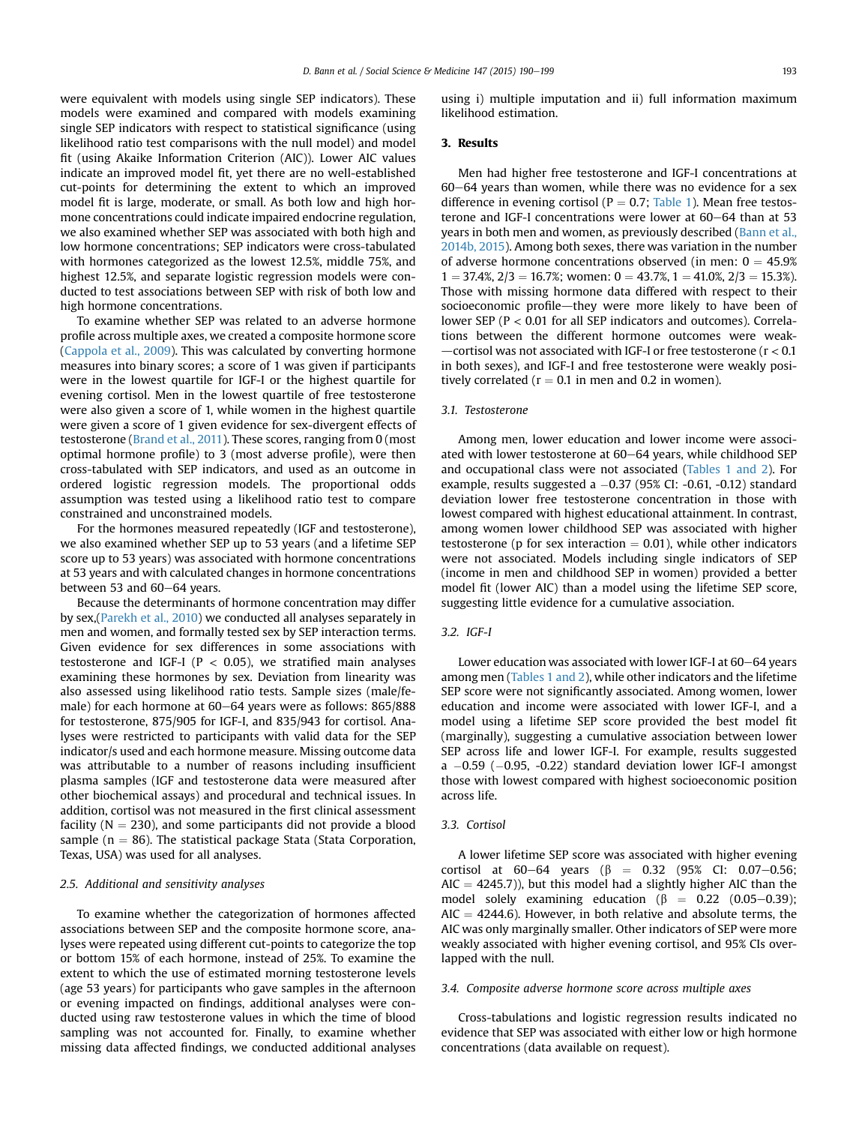were equivalent with models using single SEP indicators). These models were examined and compared with models examining single SEP indicators with respect to statistical significance (using likelihood ratio test comparisons with the null model) and model fit (using Akaike Information Criterion (AIC)). Lower AIC values indicate an improved model fit, yet there are no well-established cut-points for determining the extent to which an improved model fit is large, moderate, or small. As both low and high hormone concentrations could indicate impaired endocrine regulation, we also examined whether SEP was associated with both high and low hormone concentrations; SEP indicators were cross-tabulated with hormones categorized as the lowest 12.5%, middle 75%, and highest 12.5%, and separate logistic regression models were conducted to test associations between SEP with risk of both low and high hormone concentrations.

To examine whether SEP was related to an adverse hormone profile across multiple axes, we created a composite hormone score ([Cappola et al., 2009\)](#page-8-0). This was calculated by converting hormone measures into binary scores; a score of 1 was given if participants were in the lowest quartile for IGF-I or the highest quartile for evening cortisol. Men in the lowest quartile of free testosterone were also given a score of 1, while women in the highest quartile were given a score of 1 given evidence for sex-divergent effects of testosterone ([Brand et al., 2011](#page-8-0)). These scores, ranging from 0 (most optimal hormone profile) to 3 (most adverse profile), were then cross-tabulated with SEP indicators, and used as an outcome in ordered logistic regression models. The proportional odds assumption was tested using a likelihood ratio test to compare constrained and unconstrained models.

For the hormones measured repeatedly (IGF and testosterone), we also examined whether SEP up to 53 years (and a lifetime SEP score up to 53 years) was associated with hormone concentrations at 53 years and with calculated changes in hormone concentrations between 53 and  $60-64$  years.

Because the determinants of hormone concentration may differ by sex,[\(Parekh et al., 2010\)](#page-8-0) we conducted all analyses separately in men and women, and formally tested sex by SEP interaction terms. Given evidence for sex differences in some associations with testosterone and IGF-I ( $P < 0.05$ ), we stratified main analyses examining these hormones by sex. Deviation from linearity was also assessed using likelihood ratio tests. Sample sizes (male/female) for each hormone at 60–64 years were as follows: 865/888 for testosterone, 875/905 for IGF-I, and 835/943 for cortisol. Analyses were restricted to participants with valid data for the SEP indicator/s used and each hormone measure. Missing outcome data was attributable to a number of reasons including insufficient plasma samples (IGF and testosterone data were measured after other biochemical assays) and procedural and technical issues. In addition, cortisol was not measured in the first clinical assessment facility ( $N = 230$ ), and some participants did not provide a blood sample ( $n = 86$ ). The statistical package Stata (Stata Corporation, Texas, USA) was used for all analyses.

## 2.5. Additional and sensitivity analyses

To examine whether the categorization of hormones affected associations between SEP and the composite hormone score, analyses were repeated using different cut-points to categorize the top or bottom 15% of each hormone, instead of 25%. To examine the extent to which the use of estimated morning testosterone levels (age 53 years) for participants who gave samples in the afternoon or evening impacted on findings, additional analyses were conducted using raw testosterone values in which the time of blood sampling was not accounted for. Finally, to examine whether missing data affected findings, we conducted additional analyses using i) multiple imputation and ii) full information maximum likelihood estimation.

# 3. Results

Men had higher free testosterone and IGF-I concentrations at  $60-64$  years than women, while there was no evidence for a sex difference in evening cortisol ( $P = 0.7$ ; [Table 1\)](#page-4-0). Mean free testosterone and IGF-I concentrations were lower at  $60-64$  than at 53 years in both men and women, as previously described ([Bann et al.,](#page-8-0) [2014b, 2015](#page-8-0)). Among both sexes, there was variation in the number of adverse hormone concentrations observed (in men:  $0 = 45.9%$  $1 = 37.4\%, 2/3 = 16.7\%;$  women:  $0 = 43.7\%, 1 = 41.0\%, 2/3 = 15.3\%$ . Those with missing hormone data differed with respect to their socioeconomic profile—they were more likely to have been of lower SEP (P < 0.01 for all SEP indicators and outcomes). Correlations between the different hormone outcomes were weak- $-$ cortisol was not associated with IGF-I or free testosterone ( $r < 0.1$ ) in both sexes), and IGF-I and free testosterone were weakly positively correlated ( $r = 0.1$  in men and 0.2 in women).

#### 3.1. Testosterone

Among men, lower education and lower income were associated with lower testosterone at 60-64 years, while childhood SEP and occupational class were not associated [\(Tables 1 and 2](#page-4-0)). For example, results suggested a  $-0.37$  (95% CI:  $-0.61$ ,  $-0.12$ ) standard deviation lower free testosterone concentration in those with lowest compared with highest educational attainment. In contrast, among women lower childhood SEP was associated with higher testosterone (p for sex interaction  $= 0.01$ ), while other indicators were not associated. Models including single indicators of SEP (income in men and childhood SEP in women) provided a better model fit (lower AIC) than a model using the lifetime SEP score, suggesting little evidence for a cumulative association.

## 3.2. IGF-I

Lower education was associated with lower IGF-I at  $60-64$  years among men ([Tables 1 and 2\)](#page-4-0), while other indicators and the lifetime SEP score were not significantly associated. Among women, lower education and income were associated with lower IGF-I, and a model using a lifetime SEP score provided the best model fit (marginally), suggesting a cumulative association between lower SEP across life and lower IGF-I. For example, results suggested a  $-0.59$  ( $-0.95$ ,  $-0.22$ ) standard deviation lower IGF-I amongst those with lowest compared with highest socioeconomic position across life.

## 3.3. Cortisol

A lower lifetime SEP score was associated with higher evening cortisol at 60-64 years ( $\beta$  = 0.32 (95% CI: 0.07-0.56;  $AIC = 4245.7$ ), but this model had a slightly higher AIC than the model solely examining education ( $\beta$  = 0.22 (0.05-0.39);  $AIC = 4244.6$ ). However, in both relative and absolute terms, the AIC was only marginally smaller. Other indicators of SEP were more weakly associated with higher evening cortisol, and 95% CIs overlapped with the null.

## 3.4. Composite adverse hormone score across multiple axes

Cross-tabulations and logistic regression results indicated no evidence that SEP was associated with either low or high hormone concentrations (data available on request).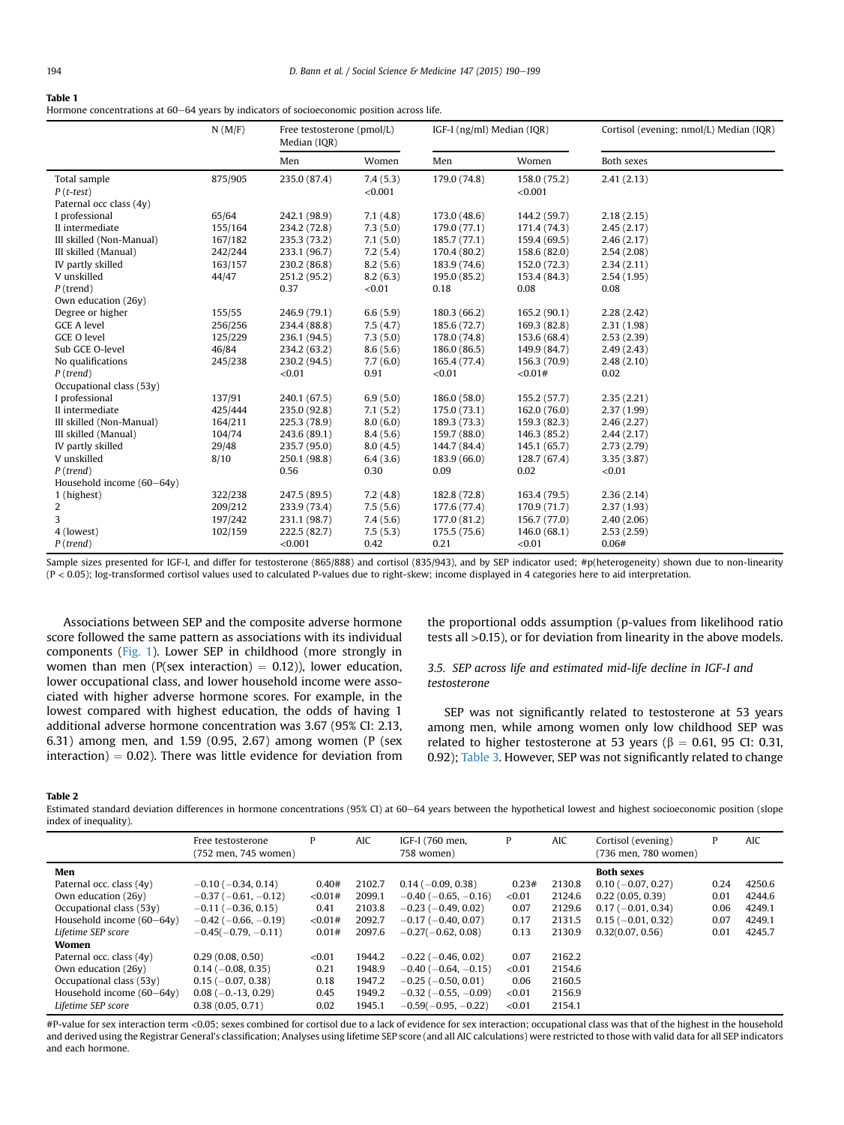#### <span id="page-4-0"></span>Table 1

Hormone concentrations at 60-64 years by indicators of socioeconomic position across life.

|                           | N(M/F)  | Free testosterone (pmol/L)<br>Median (IQR) |          | IGF-I (ng/ml) Median (IQR) |              | Cortisol (evening; nmol/L) Median (IQR) |  |
|---------------------------|---------|--------------------------------------------|----------|----------------------------|--------------|-----------------------------------------|--|
|                           |         | Men                                        | Women    | Men                        | Women        | Both sexes                              |  |
| Total sample              | 875/905 | 235.0 (87.4)                               | 7.4(5.3) | 179.0 (74.8)               | 158.0 (75.2) | 2.41(2.13)                              |  |
| $P(t-test)$               |         |                                            | < 0.001  |                            | < 0.001      |                                         |  |
| Paternal occ class (4y)   |         |                                            |          |                            |              |                                         |  |
| I professional            | 65/64   | 242.1 (98.9)                               | 7.1(4.8) | 173.0 (48.6)               | 144.2 (59.7) | 2.18(2.15)                              |  |
| II intermediate           | 155/164 | 234.2 (72.8)                               | 7.3(5.0) | 179.0 (77.1)               | 171.4 (74.3) | 2.45(2.17)                              |  |
| III skilled (Non-Manual)  | 167/182 | 235.3 (73.2)                               | 7.1(5.0) | 185.7 (77.1)               | 159.4 (69.5) | 2.46(2.17)                              |  |
| III skilled (Manual)      | 242/244 | 233.1 (96.7)                               | 7.2(5.4) | 170.4 (80.2)               | 158.6 (82.0) | 2.54(2.08)                              |  |
| IV partly skilled         | 163/157 | 230.2 (86.8)                               | 8.2(5.6) | 183.9 (74.6)               | 152.0 (72.3) | 2.34(2.11)                              |  |
| V unskilled               | 44/47   | 251.2 (95.2)                               | 8.2(6.3) | 195.0 (85.2)               | 153.4 (84.3) | 2.54(1.95)                              |  |
| $P$ (trend)               |         | 0.37                                       | < 0.01   | 0.18                       | 0.08         | 0.08                                    |  |
| Own education (26y)       |         |                                            |          |                            |              |                                         |  |
| Degree or higher          | 155/55  | 246.9 (79.1)                               | 6.6(5.9) | 180.3 (66.2)               | 165.2 (90.1) | 2.28(2.42)                              |  |
| <b>GCE A level</b>        | 256/256 | 234.4 (88.8)                               | 7.5(4.7) | 185.6 (72.7)               | 169.3 (82.8) | 2.31(1.98)                              |  |
| GCE O level               | 125/229 | 236.1 (94.5)                               | 7.3(5.0) | 178.0 (74.8)               | 153.6 (68.4) | 2.53(2.39)                              |  |
| Sub GCE O-level           | 46/84   | 234.2 (63.2)                               | 8.6(5.6) | 186.0 (86.5)               | 149.9 (84.7) | 2.49(2.43)                              |  |
| No qualifications         | 245/238 | 230.2 (94.5)                               | 7.7(6.0) | 165.4 (77.4)               | 156.3 (70.9) | 2.48(2.10)                              |  |
| $P$ (trend)               |         | < 0.01                                     | 0.91     | < 0.01                     | < 0.01#      | 0.02                                    |  |
| Occupational class (53y)  |         |                                            |          |                            |              |                                         |  |
| I professional            | 137/91  | 240.1 (67.5)                               | 6.9(5.0) | 186.0 (58.0)               | 155.2 (57.7) | 2.35(2.21)                              |  |
| II intermediate           | 425/444 | 235.0 (92.8)                               | 7.1(5.2) | 175.0 (73.1)               | 162.0 (76.0) | 2.37(1.99)                              |  |
| III skilled (Non-Manual)  | 164/211 | 225.3 (78.9)                               | 8.0(6.0) | 189.3 (73.3)               | 159.3 (82.3) | 2.46(2.27)                              |  |
| III skilled (Manual)      | 104/74  | 243.6 (89.1)                               | 8.4(5.6) | 159.7 (88.0)               | 146.3 (85.2) | 2.44(2.17)                              |  |
| IV partly skilled         | 29/48   | 235.7 (95.0)                               | 8.0(4.5) | 144.7 (84.4)               | 145.1 (65.7) | 2.73(2.79)                              |  |
| V unskilled               | 8/10    | 250.1 (98.8)                               | 6.4(3.6) | 183.9 (66.0)               | 128.7 (67.4) | 3.35(3.87)                              |  |
| $P$ (trend)               |         | 0.56                                       | 0.30     | 0.09                       | 0.02         | < 0.01                                  |  |
| Household income (60-64y) |         |                                            |          |                            |              |                                         |  |
| 1 (highest)               | 322/238 | 247.5 (89.5)                               | 7.2(4.8) | 182.8 (72.8)               | 163.4 (79.5) | 2.36(2.14)                              |  |
| 2                         | 209/212 | 233.9 (73.4)                               | 7.5(5.6) | 177.6 (77.4)               | 170.9 (71.7) | 2.37(1.93)                              |  |
| 3                         | 197/242 | 231.1 (98.7)                               | 7.4(5.6) | 177.0 (81.2)               | 156.7 (77.0) | 2.40(2.06)                              |  |
| 4 (lowest)                | 102/159 | 222.5 (82.7)                               | 7.5(5.3) | 175.5 (75.6)               | 146.0 (68.1) | 2.53(2.59)                              |  |
| $P$ (trend)               |         | < 0.001                                    | 0.42     | 0.21                       | < 0.01       | 0.06#                                   |  |

Sample sizes presented for IGF-I, and differ for testosterone (865/888) and cortisol (835/943), and by SEP indicator used; #p(heterogeneity) shown due to non-linearity (P < 0.05); log-transformed cortisol values used to calculated P-values due to right-skew; income displayed in 4 categories here to aid interpretation.

Associations between SEP and the composite adverse hormone score followed the same pattern as associations with its individual components ([Fig. 1\)](#page-5-0). Lower SEP in childhood (more strongly in women than men (P(sex interaction)  $= 0.12$ )), lower education, lower occupational class, and lower household income were associated with higher adverse hormone scores. For example, in the lowest compared with highest education, the odds of having 1 additional adverse hormone concentration was 3.67 (95% CI: 2.13, 6.31) among men, and 1.59 (0.95, 2.67) among women (P (sex interaction)  $= 0.02$ ). There was little evidence for deviation from the proportional odds assumption (p-values from likelihood ratio tests all >0.15), or for deviation from linearity in the above models.

# 3.5. SEP across life and estimated mid-life decline in IGF-I and testosterone

SEP was not significantly related to testosterone at 53 years among men, while among women only low childhood SEP was related to higher testosterone at 53 years ( $\beta = 0.61$ , 95 CI: 0.31, 0.92); [Table 3](#page-5-0). However, SEP was not significantly related to change

#### Table 2

Estimated standard deviation differences in hormone concentrations (95% CI) at 60-64 years between the hypothetical lowest and highest socioeconomic position (slope index of inequality).

|                           | Free testosterone<br>(752 men, 745 women) | P      | <b>AIC</b> | IGF-I (760 men.<br>758 women) | P      | <b>AIC</b> | Cortisol (evening)<br>(736 men, 780 women) | P    | <b>AIC</b> |
|---------------------------|-------------------------------------------|--------|------------|-------------------------------|--------|------------|--------------------------------------------|------|------------|
| Men                       |                                           |        |            |                               |        |            | <b>Both sexes</b>                          |      |            |
| Paternal occ. class (4y)  | $-0.10$ ( $-0.34$ , 0.14)                 | 0.40#  | 2102.7     | $0.14(-0.09, 0.38)$           | 0.23#  | 2130.8     | $0.10(-0.07, 0.27)$                        | 0.24 | 4250.6     |
| Own education (26y)       | $-0.37(-0.61,-0.12)$                      | <0.01# | 2099.1     | $-0.40$ ( $-0.65$ , $-0.16$ ) | < 0.01 | 2124.6     | 0.22(0.05, 0.39)                           | 0.01 | 4244.6     |
| Occupational class (53y)  | $-0.11$ ( $-0.36$ , 0.15)                 | 0.41   | 2103.8     | $-0.23$ ( $-0.49$ , 0.02)     | 0.07   | 2129.6     | $0.17(-0.01, 0.34)$                        | 0.06 | 4249.1     |
| Household income (60-64y) | $-0.42$ ( $-0.66$ , $-0.19$ )             | <0.01# | 2092.7     | $-0.17$ ( $-0.40$ , 0.07)     | 0.17   | 2131.5     | $0.15(-0.01, 0.32)$                        | 0.07 | 4249.1     |
| Lifetime SEP score        | $-0.45(-0.79, -0.11)$                     | 0.01#  | 2097.6     | $-0.27(-0.62, 0.08)$          | 0.13   | 2130.9     | 0.32(0.07, 0.56)                           | 0.01 | 4245.7     |
| Women                     |                                           |        |            |                               |        |            |                                            |      |            |
| Paternal occ. class (4y)  | 0.29(0.08, 0.50)                          | < 0.01 | 1944.2     | $-0.22$ ( $-0.46$ , 0.02)     | 0.07   | 2162.2     |                                            |      |            |
| Own education (26y)       | $0.14(-0.08, 0.35)$                       | 0.21   | 1948.9     | $-0.40$ ( $-0.64$ , $-0.15$ ) | < 0.01 | 2154.6     |                                            |      |            |
| Occupational class (53y)  | $0.15(-0.07, 0.38)$                       | 0.18   | 1947.2     | $-0.25$ ( $-0.50$ , 0.01)     | 0.06   | 2160.5     |                                            |      |            |
| Household income (60-64y) | $0.08$ (-0.-13, 0.29)                     | 0.45   | 1949.2     | $-0.32$ ( $-0.55$ , $-0.09$ ) | < 0.01 | 2156.9     |                                            |      |            |
| Lifetime SEP score        | 0.38(0.05, 0.71)                          | 0.02   | 1945.1     | $-0.59(-0.95, -0.22)$         | < 0.01 | 2154.1     |                                            |      |            |

#P-value for sex interaction term <0.05; sexes combined for cortisol due to a lack of evidence for sex interaction; occupational class was that of the highest in the household and derived using the Registrar General's classification; Analyses using lifetime SEP score (and all AIC calculations) were restricted to those with valid data for all SEP indicators and each hormone.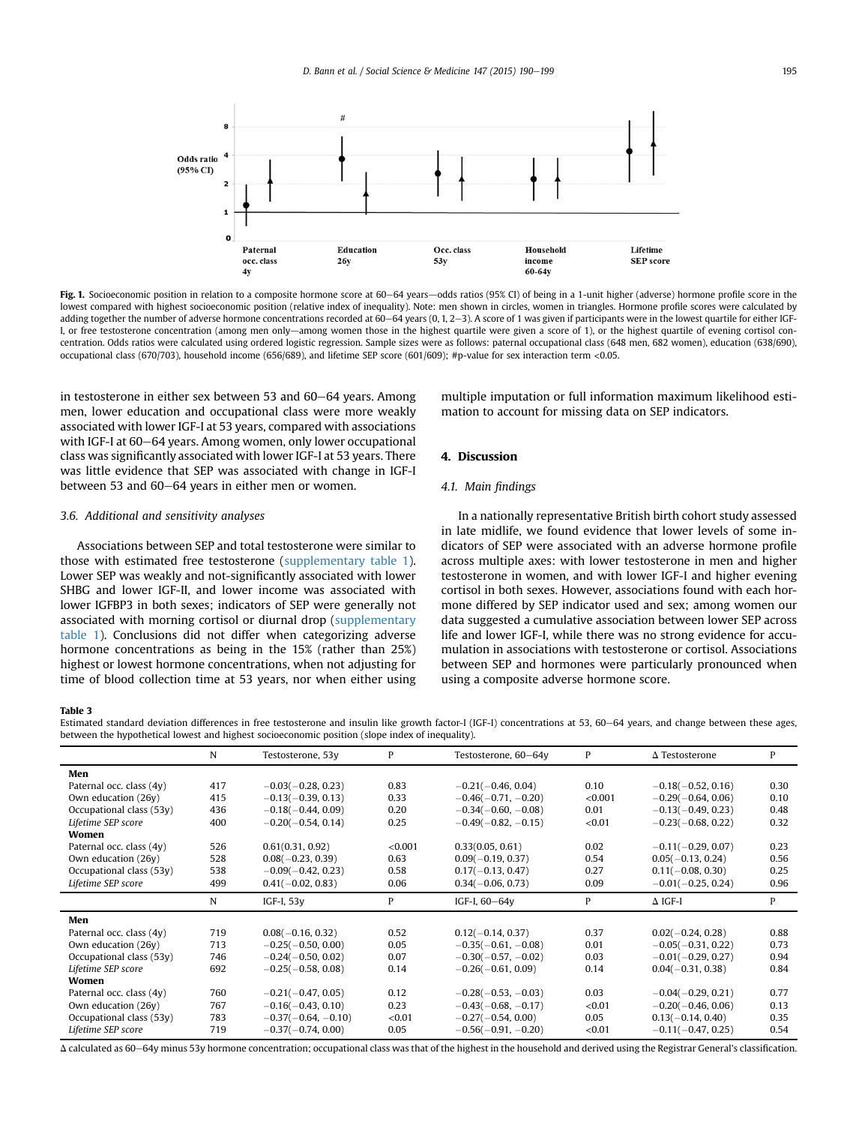<span id="page-5-0"></span>

Fig. 1. Socioeconomic position in relation to a composite hormone score at  $60-64$  years—odds ratios (95% CI) of being in a 1-unit higher (adverse) hormone profile score in the lowest compared with highest socioeconomic position (relative index of inequality). Note: men shown in circles, women in triangles. Hormone profile scores were calculated by adding together the number of adverse hormone concentrations recorded at 60-64 years (0, 1, 2-3). A score of 1 was given if participants were in the lowest quartile for either IGF-I, or free testosterone concentration (among men only—among women those in the highest quartile were given a score of 1), or the highest quartile of evening cortisol concentration. Odds ratios were calculated using ordered logistic regression. Sample sizes were as follows: paternal occupational class (648 men, 682 women), education (638/690), occupational class (670/703), household income (656/689), and lifetime SEP score (601/609); #p-value for sex interaction term <0.05.

in testosterone in either sex between 53 and  $60-64$  years. Among men, lower education and occupational class were more weakly associated with lower IGF-I at 53 years, compared with associations with IGF-I at 60–64 years. Among women, only lower occupational class was significantly associated with lower IGF-I at 53 years. There was little evidence that SEP was associated with change in IGF-I between 53 and 60–64 years in either men or women.

## 3.6. Additional and sensitivity analyses

Associations between SEP and total testosterone were similar to those with estimated free testosterone (supplementary table 1). Lower SEP was weakly and not-significantly associated with lower SHBG and lower IGF-II, and lower income was associated with lower IGFBP3 in both sexes; indicators of SEP were generally not associated with morning cortisol or diurnal drop (supplementary table 1). Conclusions did not differ when categorizing adverse hormone concentrations as being in the 15% (rather than 25%) highest or lowest hormone concentrations, when not adjusting for time of blood collection time at 53 years, nor when either using multiple imputation or full information maximum likelihood estimation to account for missing data on SEP indicators.

## 4. Discussion

## 4.1. Main findings

In a nationally representative British birth cohort study assessed in late midlife, we found evidence that lower levels of some indicators of SEP were associated with an adverse hormone profile across multiple axes: with lower testosterone in men and higher testosterone in women, and with lower IGF-I and higher evening cortisol in both sexes. However, associations found with each hormone differed by SEP indicator used and sex; among women our data suggested a cumulative association between lower SEP across life and lower IGF-I, while there was no strong evidence for accumulation in associations with testosterone or cortisol. Associations between SEP and hormones were particularly pronounced when using a composite adverse hormone score.

#### Table 3

Estimated standard deviation differences in free testosterone and insulin like growth factor-I (IGF-I) concentrations at 53, 60-64 years, and change between these ages, between the hypothetical lowest and highest socioeconomic position (slope index of inequality).

|                          | N   | Testosterone, 53y     | P       | Testosterone, 60-64y  | P       | $\Delta$ Testosterone | P    |
|--------------------------|-----|-----------------------|---------|-----------------------|---------|-----------------------|------|
| Men                      |     |                       |         |                       |         |                       |      |
| Paternal occ. class (4y) | 417 | $-0.03(-0.28, 0.23)$  | 0.83    | $-0.21(-0.46, 0.04)$  | 0.10    | $-0.18(-0.52, 0.16)$  | 0.30 |
| Own education (26y)      | 415 | $-0.13(-0.39, 0.13)$  | 0.33    | $-0.46(-0.71, -0.20)$ | < 0.001 | $-0.29(-0.64, 0.06)$  | 0.10 |
| Occupational class (53y) | 436 | $-0.18(-0.44, 0.09)$  | 0.20    | $-0.34(-0.60, -0.08)$ | 0.01    | $-0.13(-0.49, 0.23)$  | 0.48 |
| Lifetime SEP score       | 400 | $-0.20(-0.54, 0.14)$  | 0.25    | $-0.49(-0.82, -0.15)$ | < 0.01  | $-0.23(-0.68, 0.22)$  | 0.32 |
| Women                    |     |                       |         |                       |         |                       |      |
| Paternal occ. class (4y) | 526 | 0.61(0.31, 0.92)      | < 0.001 | 0.33(0.05, 0.61)      | 0.02    | $-0.11(-0.29, 0.07)$  | 0.23 |
| Own education (26y)      | 528 | $0.08(-0.23, 0.39)$   | 0.63    | $0.09(-0.19, 0.37)$   | 0.54    | $0.05(-0.13, 0.24)$   | 0.56 |
| Occupational class (53y) | 538 | $-0.09(-0.42, 0.23)$  | 0.58    | $0.17(-0.13, 0.47)$   | 0.27    | $0.11(-0.08, 0.30)$   | 0.25 |
| Lifetime SEP score       | 499 | $0.41(-0.02, 0.83)$   | 0.06    | $0.34(-0.06, 0.73)$   | 0.09    | $-0.01(-0.25, 0.24)$  | 0.96 |
|                          | N   | IGF-I, $53y$          | P       | IGF-I, 60-64y         | P       | $\Delta$ IGF-I        | P    |
| Men                      |     |                       |         |                       |         |                       |      |
| Paternal occ. class (4y) | 719 | $0.08(-0.16, 0.32)$   | 0.52    | $0.12(-0.14, 0.37)$   | 0.37    | $0.02(-0.24, 0.28)$   | 0.88 |
| Own education (26y)      | 713 | $-0.25(-0.50, 0.00)$  | 0.05    | $-0.35(-0.61, -0.08)$ | 0.01    | $-0.05(-0.31, 0.22)$  | 0.73 |
| Occupational class (53y) | 746 | $-0.24(-0.50, 0.02)$  | 0.07    | $-0.30(-0.57, -0.02)$ | 0.03    | $-0.01(-0.29, 0.27)$  | 0.94 |
| Lifetime SEP score       | 692 | $-0.25(-0.58, 0.08)$  | 0.14    | $-0.26(-0.61, 0.09)$  | 0.14    | $0.04(-0.31, 0.38)$   | 0.84 |
| Women                    |     |                       |         |                       |         |                       |      |
| Paternal occ. class (4y) | 760 | $-0.21(-0.47, 0.05)$  | 0.12    | $-0.28(-0.53, -0.03)$ | 0.03    | $-0.04(-0.29, 0.21)$  | 0.77 |
| Own education (26y)      | 767 | $-0.16(-0.43, 0.10)$  | 0.23    | $-0.43(-0.68, -0.17)$ | < 0.01  | $-0.20(-0.46, 0.06)$  | 0.13 |
| Occupational class (53y) | 783 | $-0.37(-0.64, -0.10)$ | < 0.01  | $-0.27(-0.54, 0.00)$  | 0.05    | $0.13(-0.14, 0.40)$   | 0.35 |
|                          |     |                       |         |                       |         |                       |      |
| Lifetime SEP score       | 719 | $-0.37(-0.74, 0.00)$  | 0.05    | $-0.56(-0.91, -0.20)$ | < 0.01  | $-0.11(-0.47, 0.25)$  | 0.54 |

D calculated as 60e64y minus 53y hormone concentration; occupational class was that of the highest in the household and derived using the Registrar General's classification.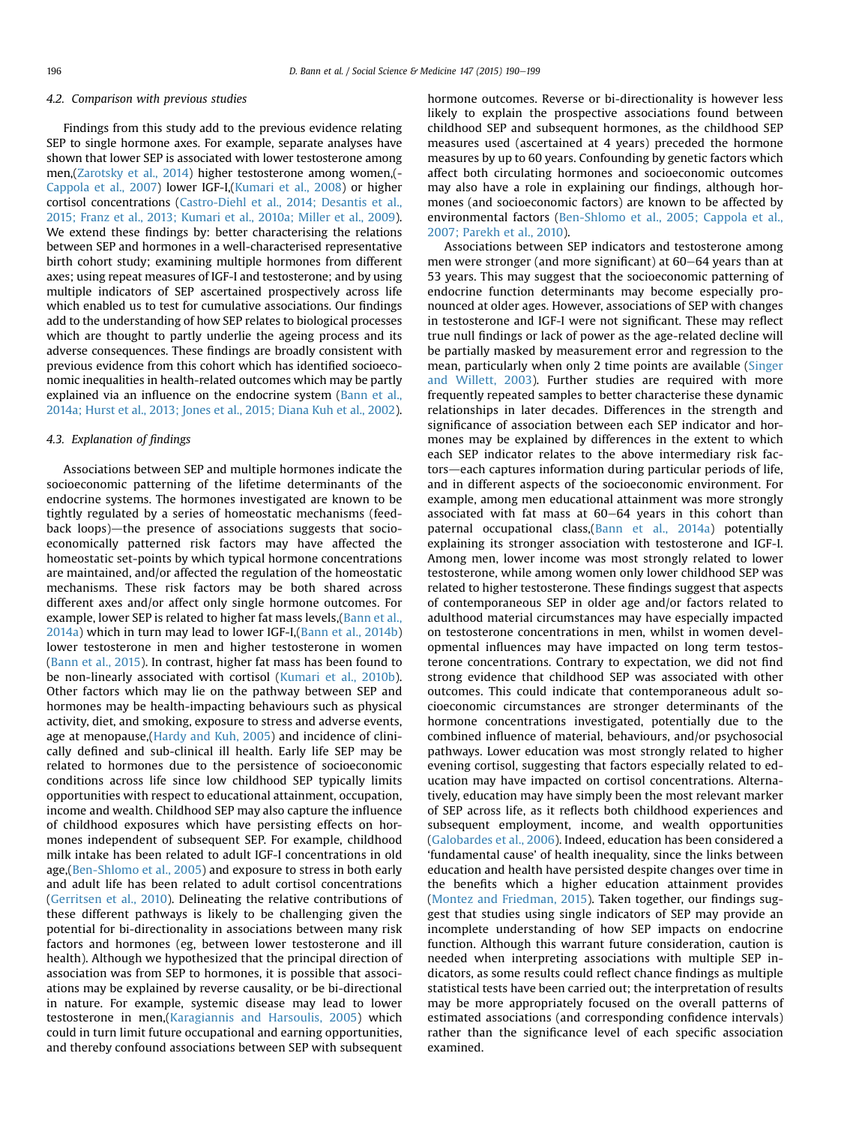## 4.2. Comparison with previous studies

Findings from this study add to the previous evidence relating SEP to single hormone axes. For example, separate analyses have shown that lower SEP is associated with lower testosterone among men,([Zarotsky et al., 2014](#page-9-0)) higher testosterone among women,(- [Cappola et al., 2007\)](#page-8-0) lower IGF-I,([Kumari et al., 2008](#page-8-0)) or higher cortisol concentrations ([Castro-Diehl et al., 2014; Desantis et al.,](#page-8-0) [2015; Franz et al., 2013; Kumari et al., 2010a; Miller et al., 2009\)](#page-8-0). We extend these findings by: better characterising the relations between SEP and hormones in a well-characterised representative birth cohort study; examining multiple hormones from different axes; using repeat measures of IGF-I and testosterone; and by using multiple indicators of SEP ascertained prospectively across life which enabled us to test for cumulative associations. Our findings add to the understanding of how SEP relates to biological processes which are thought to partly underlie the ageing process and its adverse consequences. These findings are broadly consistent with previous evidence from this cohort which has identified socioeconomic inequalities in health-related outcomes which may be partly explained via an influence on the endocrine system [\(Bann et al.,](#page-8-0) [2014a; Hurst et al., 2013; Jones et al., 2015; Diana Kuh et al., 2002\)](#page-8-0).

## 4.3. Explanation of findings

Associations between SEP and multiple hormones indicate the socioeconomic patterning of the lifetime determinants of the endocrine systems. The hormones investigated are known to be tightly regulated by a series of homeostatic mechanisms (feedback loops)—the presence of associations suggests that socioeconomically patterned risk factors may have affected the homeostatic set-points by which typical hormone concentrations are maintained, and/or affected the regulation of the homeostatic mechanisms. These risk factors may be both shared across different axes and/or affect only single hormone outcomes. For example, lower SEP is related to higher fat mass levels, ([Bann et al.,](#page-8-0) [2014a\)](#page-8-0) which in turn may lead to lower IGF-I,[\(Bann et al., 2014b\)](#page-8-0) lower testosterone in men and higher testosterone in women ([Bann et al., 2015](#page-8-0)). In contrast, higher fat mass has been found to be non-linearly associated with cortisol ([Kumari et al., 2010b\)](#page-8-0). Other factors which may lie on the pathway between SEP and hormones may be health-impacting behaviours such as physical activity, diet, and smoking, exposure to stress and adverse events, age at menopause,[\(Hardy and Kuh, 2005](#page-8-0)) and incidence of clinically defined and sub-clinical ill health. Early life SEP may be related to hormones due to the persistence of socioeconomic conditions across life since low childhood SEP typically limits opportunities with respect to educational attainment, occupation, income and wealth. Childhood SEP may also capture the influence of childhood exposures which have persisting effects on hormones independent of subsequent SEP. For example, childhood milk intake has been related to adult IGF-I concentrations in old age,[\(Ben-Shlomo et al., 2005](#page-8-0)) and exposure to stress in both early and adult life has been related to adult cortisol concentrations ([Gerritsen et al., 2010](#page-8-0)). Delineating the relative contributions of these different pathways is likely to be challenging given the potential for bi-directionality in associations between many risk factors and hormones (eg, between lower testosterone and ill health). Although we hypothesized that the principal direction of association was from SEP to hormones, it is possible that associations may be explained by reverse causality, or be bi-directional in nature. For example, systemic disease may lead to lower testosterone in men,[\(Karagiannis and Harsoulis, 2005](#page-8-0)) which could in turn limit future occupational and earning opportunities, and thereby confound associations between SEP with subsequent hormone outcomes. Reverse or bi-directionality is however less likely to explain the prospective associations found between childhood SEP and subsequent hormones, as the childhood SEP measures used (ascertained at 4 years) preceded the hormone measures by up to 60 years. Confounding by genetic factors which affect both circulating hormones and socioeconomic outcomes may also have a role in explaining our findings, although hormones (and socioeconomic factors) are known to be affected by environmental factors ([Ben-Shlomo et al., 2005; Cappola et al.,](#page-8-0) [2007; Parekh et al., 2010\)](#page-8-0).

Associations between SEP indicators and testosterone among men were stronger (and more significant) at 60–64 years than at 53 years. This may suggest that the socioeconomic patterning of endocrine function determinants may become especially pronounced at older ages. However, associations of SEP with changes in testosterone and IGF-I were not significant. These may reflect true null findings or lack of power as the age-related decline will be partially masked by measurement error and regression to the mean, particularly when only 2 time points are available ([Singer](#page-9-0) [and Willett, 2003\)](#page-9-0). Further studies are required with more frequently repeated samples to better characterise these dynamic relationships in later decades. Differences in the strength and significance of association between each SEP indicator and hormones may be explained by differences in the extent to which each SEP indicator relates to the above intermediary risk factors-each captures information during particular periods of life, and in different aspects of the socioeconomic environment. For example, among men educational attainment was more strongly associated with fat mass at  $60-64$  years in this cohort than paternal occupational class,[\(Bann et al., 2014a](#page-8-0)) potentially explaining its stronger association with testosterone and IGF-I. Among men, lower income was most strongly related to lower testosterone, while among women only lower childhood SEP was related to higher testosterone. These findings suggest that aspects of contemporaneous SEP in older age and/or factors related to adulthood material circumstances may have especially impacted on testosterone concentrations in men, whilst in women developmental influences may have impacted on long term testosterone concentrations. Contrary to expectation, we did not find strong evidence that childhood SEP was associated with other outcomes. This could indicate that contemporaneous adult socioeconomic circumstances are stronger determinants of the hormone concentrations investigated, potentially due to the combined influence of material, behaviours, and/or psychosocial pathways. Lower education was most strongly related to higher evening cortisol, suggesting that factors especially related to education may have impacted on cortisol concentrations. Alternatively, education may have simply been the most relevant marker of SEP across life, as it reflects both childhood experiences and subsequent employment, income, and wealth opportunities ([Galobardes et al., 2006\)](#page-8-0). Indeed, education has been considered a 'fundamental cause' of health inequality, since the links between education and health have persisted despite changes over time in the benefits which a higher education attainment provides ([Montez and Friedman, 2015\)](#page-8-0). Taken together, our findings suggest that studies using single indicators of SEP may provide an incomplete understanding of how SEP impacts on endocrine function. Although this warrant future consideration, caution is needed when interpreting associations with multiple SEP indicators, as some results could reflect chance findings as multiple statistical tests have been carried out; the interpretation of results may be more appropriately focused on the overall patterns of estimated associations (and corresponding confidence intervals) rather than the significance level of each specific association examined.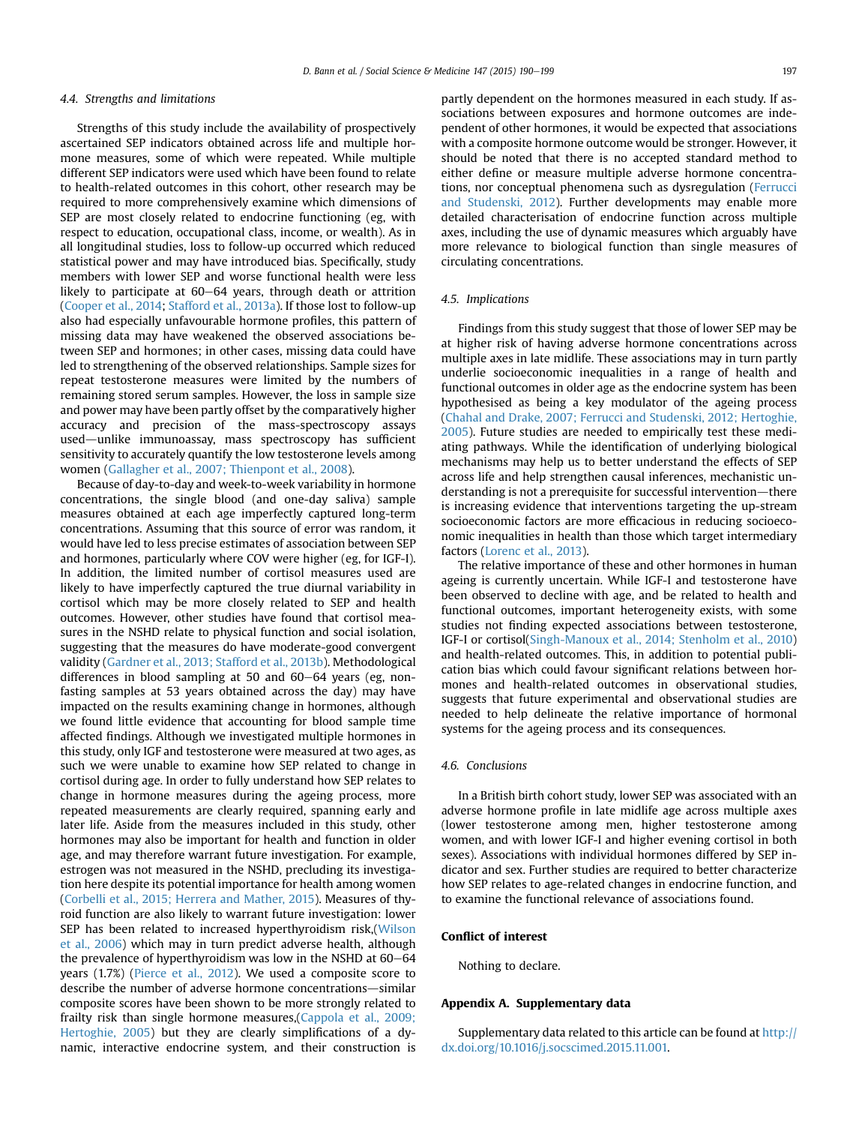### 4.4. Strengths and limitations

Strengths of this study include the availability of prospectively ascertained SEP indicators obtained across life and multiple hormone measures, some of which were repeated. While multiple different SEP indicators were used which have been found to relate to health-related outcomes in this cohort, other research may be required to more comprehensively examine which dimensions of SEP are most closely related to endocrine functioning (eg, with respect to education, occupational class, income, or wealth). As in all longitudinal studies, loss to follow-up occurred which reduced statistical power and may have introduced bias. Specifically, study members with lower SEP and worse functional health were less likely to participate at  $60-64$  years, through death or attrition ([Cooper et al., 2014](#page-8-0); [Stafford et al., 2013a\)](#page-9-0). If those lost to follow-up also had especially unfavourable hormone profiles, this pattern of missing data may have weakened the observed associations between SEP and hormones; in other cases, missing data could have led to strengthening of the observed relationships. Sample sizes for repeat testosterone measures were limited by the numbers of remaining stored serum samples. However, the loss in sample size and power may have been partly offset by the comparatively higher accuracy and precision of the mass-spectroscopy assays used-unlike immunoassay, mass spectroscopy has sufficient sensitivity to accurately quantify the low testosterone levels among women ([Gallagher et al., 2007; Thienpont et al., 2008](#page-8-0)).

Because of day-to-day and week-to-week variability in hormone concentrations, the single blood (and one-day saliva) sample measures obtained at each age imperfectly captured long-term concentrations. Assuming that this source of error was random, it would have led to less precise estimates of association between SEP and hormones, particularly where COV were higher (eg, for IGF-I). In addition, the limited number of cortisol measures used are likely to have imperfectly captured the true diurnal variability in cortisol which may be more closely related to SEP and health outcomes. However, other studies have found that cortisol measures in the NSHD relate to physical function and social isolation, suggesting that the measures do have moderate-good convergent validity ([Gardner et al., 2013; Stafford et al., 2013b](#page-8-0)). Methodological differences in blood sampling at 50 and  $60-64$  years (eg, nonfasting samples at 53 years obtained across the day) may have impacted on the results examining change in hormones, although we found little evidence that accounting for blood sample time affected findings. Although we investigated multiple hormones in this study, only IGF and testosterone were measured at two ages, as such we were unable to examine how SEP related to change in cortisol during age. In order to fully understand how SEP relates to change in hormone measures during the ageing process, more repeated measurements are clearly required, spanning early and later life. Aside from the measures included in this study, other hormones may also be important for health and function in older age, and may therefore warrant future investigation. For example, estrogen was not measured in the NSHD, precluding its investigation here despite its potential importance for health among women ([Corbelli et al., 2015; Herrera and Mather, 2015](#page-8-0)). Measures of thyroid function are also likely to warrant future investigation: lower SEP has been related to increased hyperthyroidism risk, ([Wilson](#page-9-0) [et al., 2006](#page-9-0)) which may in turn predict adverse health, although the prevalence of hyperthyroidism was low in the NSHD at  $60-64$ years (1.7%) ([Pierce et al., 2012](#page-8-0)). We used a composite score to describe the number of adverse hormone concentrations-similar composite scores have been shown to be more strongly related to frailty risk than single hormone measures,[\(Cappola et al., 2009;](#page-8-0) [Hertoghie, 2005](#page-8-0)) but they are clearly simplifications of a dynamic, interactive endocrine system, and their construction is partly dependent on the hormones measured in each study. If associations between exposures and hormone outcomes are independent of other hormones, it would be expected that associations with a composite hormone outcome would be stronger. However, it should be noted that there is no accepted standard method to either define or measure multiple adverse hormone concentrations, nor conceptual phenomena such as dysregulation [\(Ferrucci](#page-8-0) [and Studenski, 2012](#page-8-0)). Further developments may enable more detailed characterisation of endocrine function across multiple axes, including the use of dynamic measures which arguably have more relevance to biological function than single measures of circulating concentrations.

#### 4.5. Implications

Findings from this study suggest that those of lower SEP may be at higher risk of having adverse hormone concentrations across multiple axes in late midlife. These associations may in turn partly underlie socioeconomic inequalities in a range of health and functional outcomes in older age as the endocrine system has been hypothesised as being a key modulator of the ageing process ([Chahal and Drake, 2007; Ferrucci and Studenski, 2012; Hertoghie,](#page-8-0) [2005\)](#page-8-0). Future studies are needed to empirically test these mediating pathways. While the identification of underlying biological mechanisms may help us to better understand the effects of SEP across life and help strengthen causal inferences, mechanistic understanding is not a prerequisite for successful intervention—there is increasing evidence that interventions targeting the up-stream socioeconomic factors are more efficacious in reducing socioeconomic inequalities in health than those which target intermediary factors [\(Lorenc et al., 2013\)](#page-8-0).

The relative importance of these and other hormones in human ageing is currently uncertain. While IGF-I and testosterone have been observed to decline with age, and be related to health and functional outcomes, important heterogeneity exists, with some studies not finding expected associations between testosterone, IGF-I or cortisol[\(Singh-Manoux et al., 2014; Stenholm et al., 2010\)](#page-9-0) and health-related outcomes. This, in addition to potential publication bias which could favour significant relations between hormones and health-related outcomes in observational studies, suggests that future experimental and observational studies are needed to help delineate the relative importance of hormonal systems for the ageing process and its consequences.

## 4.6. Conclusions

In a British birth cohort study, lower SEP was associated with an adverse hormone profile in late midlife age across multiple axes (lower testosterone among men, higher testosterone among women, and with lower IGF-I and higher evening cortisol in both sexes). Associations with individual hormones differed by SEP indicator and sex. Further studies are required to better characterize how SEP relates to age-related changes in endocrine function, and to examine the functional relevance of associations found.

## Conflict of interest

Nothing to declare.

## Appendix A. Supplementary data

Supplementary data related to this article can be found at [http://](http://dx.doi.org/10.1016/j.socscimed.2015.11.001) [dx.doi.org/10.1016/j.socscimed.2015.11.001.](http://dx.doi.org/10.1016/j.socscimed.2015.11.001)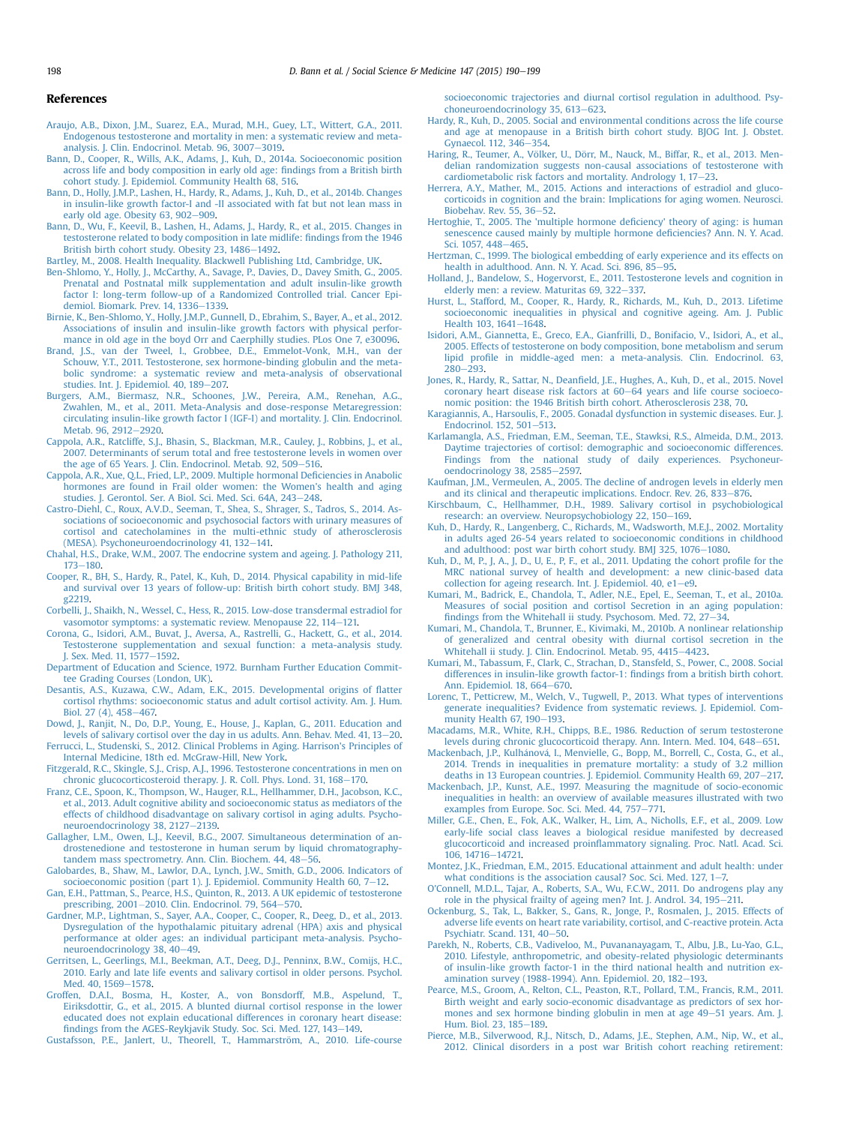#### <span id="page-8-0"></span>References

- [Araujo, A.B., Dixon, J.M., Suarez, E.A., Murad, M.H., Guey, L.T., Wittert, G.A., 2011.](http://refhub.elsevier.com/S0277-9536(15)30209-4/sref1) Endogenous testosterone and mortality in men: a systematic review and meta-<br>[analysis. J. Clin. Endocrinol. Metab. 96, 3007](http://refhub.elsevier.com/S0277-9536(15)30209-4/sref1)—[3019](http://refhub.elsevier.com/S0277-9536(15)30209-4/sref1).
- [Bann, D., Cooper, R., Wills, A.K., Adams, J., Kuh, D., 2014a. Socioeconomic position](http://refhub.elsevier.com/S0277-9536(15)30209-4/sref2) [across life and body composition in early old age:](http://refhub.elsevier.com/S0277-9536(15)30209-4/sref2) findings from a British birth [cohort study. J. Epidemiol. Community Health 68, 516](http://refhub.elsevier.com/S0277-9536(15)30209-4/sref2).
- [Bann, D., Holly, J.M.P., Lashen, H., Hardy, R., Adams, J., Kuh, D., et al., 2014b. Changes](http://refhub.elsevier.com/S0277-9536(15)30209-4/sref3) [in insulin-like growth factor-I and -II associated with fat but not lean mass in](http://refhub.elsevier.com/S0277-9536(15)30209-4/sref3) early old age. Obesity  $63, 902-909$ .
- [Bann, D., Wu, F., Keevil, B., Lashen, H., Adams, J., Hardy, R., et al., 2015. Changes in](http://refhub.elsevier.com/S0277-9536(15)30209-4/sref4) [testosterone related to body composition in late midlife:](http://refhub.elsevier.com/S0277-9536(15)30209-4/sref4) findings from the 1946 [British birth cohort study. Obesity 23, 1486](http://refhub.elsevier.com/S0277-9536(15)30209-4/sref4)-[1492](http://refhub.elsevier.com/S0277-9536(15)30209-4/sref4).
- [Bartley, M., 2008. Health Inequality. Blackwell Publishing Ltd, Cambridge, UK](http://refhub.elsevier.com/S0277-9536(15)30209-4/sref5).
- [Ben-Shlomo, Y., Holly, J., McCarthy, A., Savage, P., Davies, D., Davey Smith, G., 2005.](http://refhub.elsevier.com/S0277-9536(15)30209-4/sref6) [Prenatal and Postnatal milk supplementation and adult insulin-like growth](http://refhub.elsevier.com/S0277-9536(15)30209-4/sref6) [factor I: long-term follow-up of a Randomized Controlled trial. Cancer Epi](http://refhub.elsevier.com/S0277-9536(15)30209-4/sref6)[demiol. Biomark. Prev. 14, 1336](http://refhub.elsevier.com/S0277-9536(15)30209-4/sref6)-[1339.](http://refhub.elsevier.com/S0277-9536(15)30209-4/sref6)
- [Birnie, K., Ben-Shlomo, Y., Holly, J.M.P., Gunnell, D., Ebrahim, S., Bayer, A., et al., 2012.](http://refhub.elsevier.com/S0277-9536(15)30209-4/sref7) [Associations of insulin and insulin-like growth factors with physical perfor](http://refhub.elsevier.com/S0277-9536(15)30209-4/sref7)[mance in old age in the boyd Orr and Caerphilly studies. PLos One 7, e30096.](http://refhub.elsevier.com/S0277-9536(15)30209-4/sref7)
- [Brand, J.S., van der Tweel, I., Grobbee, D.E., Emmelot-Vonk, M.H., van der](http://refhub.elsevier.com/S0277-9536(15)30209-4/sref8) [Schouw, Y.T., 2011. Testosterone, sex hormone-binding globulin and the meta](http://refhub.elsevier.com/S0277-9536(15)30209-4/sref8)[bolic syndrome: a systematic review and meta-analysis of observational](http://refhub.elsevier.com/S0277-9536(15)30209-4/sref8) [studies. Int. J. Epidemiol. 40, 189](http://refhub.elsevier.com/S0277-9536(15)30209-4/sref8)-[207.](http://refhub.elsevier.com/S0277-9536(15)30209-4/sref8)
- [Burgers, A.M., Biermasz, N.R., Schoones, J.W., Pereira, A.M., Renehan, A.G.,](http://refhub.elsevier.com/S0277-9536(15)30209-4/sref9) [Zwahlen, M., et al., 2011. Meta-Analysis and dose-response Metaregression:](http://refhub.elsevier.com/S0277-9536(15)30209-4/sref9) [circulating insulin-like growth factor I \(IGF-I\) and mortality. J. Clin. Endocrinol.](http://refhub.elsevier.com/S0277-9536(15)30209-4/sref9) [Metab. 96, 2912](http://refhub.elsevier.com/S0277-9536(15)30209-4/sref9)-[2920.](http://refhub.elsevier.com/S0277-9536(15)30209-4/sref9)
- [Cappola, A.R., Ratcliffe, S.J., Bhasin, S., Blackman, M.R., Cauley, J., Robbins, J., et al.,](http://refhub.elsevier.com/S0277-9536(15)30209-4/sref10) [2007. Determinants of serum total and free testosterone levels in women over](http://refhub.elsevier.com/S0277-9536(15)30209-4/sref10) [the age of 65 Years. J. Clin. Endocrinol. Metab. 92, 509](http://refhub.elsevier.com/S0277-9536(15)30209-4/sref10)-[516.](http://refhub.elsevier.com/S0277-9536(15)30209-4/sref10)
- [Cappola, A.R., Xue, Q.L., Fried, L.P., 2009. Multiple hormonal De](http://refhub.elsevier.com/S0277-9536(15)30209-4/sref11)ficiencies in Anabolic [hormones are found in Frail older women: the Women's health and aging](http://refhub.elsevier.com/S0277-9536(15)30209-4/sref11) [studies. J. Gerontol. Ser. A Biol. Sci. Med. Sci. 64A, 243](http://refhub.elsevier.com/S0277-9536(15)30209-4/sref11)-[248.](http://refhub.elsevier.com/S0277-9536(15)30209-4/sref11)
- [Castro-Diehl, C., Roux, A.V.D., Seeman, T., Shea, S., Shrager, S., Tadros, S., 2014. As](http://refhub.elsevier.com/S0277-9536(15)30209-4/sref12)[sociations of socioeconomic and psychosocial factors with urinary measures of](http://refhub.elsevier.com/S0277-9536(15)30209-4/sref12) [cortisol and catecholamines in the multi-ethnic study of atherosclerosis](http://refhub.elsevier.com/S0277-9536(15)30209-4/sref12) [\(MESA\). Psychoneuroendocrinology 41, 132](http://refhub.elsevier.com/S0277-9536(15)30209-4/sref12)-[141.](http://refhub.elsevier.com/S0277-9536(15)30209-4/sref12)
- [Chahal, H.S., Drake, W.M., 2007. The endocrine system and ageing. J. Pathology 211,](http://refhub.elsevier.com/S0277-9536(15)30209-4/sref13)  $173 - 180.$  $173 - 180.$  $173 - 180.$
- [Cooper, R., BH, S., Hardy, R., Patel, K., Kuh, D., 2014. Physical capability in mid-life](http://refhub.elsevier.com/S0277-9536(15)30209-4/sref14) [and survival over 13 years of follow-up: British birth cohort study. BMJ 348,](http://refhub.elsevier.com/S0277-9536(15)30209-4/sref14) [g2219.](http://refhub.elsevier.com/S0277-9536(15)30209-4/sref14)
- [Corbelli, J., Shaikh, N., Wessel, C., Hess, R., 2015. Low-dose transdermal estradiol for](http://refhub.elsevier.com/S0277-9536(15)30209-4/sref15) [vasomotor symptoms: a systematic review. Menopause 22, 114](http://refhub.elsevier.com/S0277-9536(15)30209-4/sref15)-[121.](http://refhub.elsevier.com/S0277-9536(15)30209-4/sref15)
- [Corona, G., Isidori, A.M., Buvat, J., Aversa, A., Rastrelli, G., Hackett, G., et al., 2014.](http://refhub.elsevier.com/S0277-9536(15)30209-4/sref16) [Testosterone supplementation and sexual function: a meta-analysis study.](http://refhub.elsevier.com/S0277-9536(15)30209-4/sref16) J. Sex. Med. 11,  $1577 - 1592$  $1577 - 1592$ .
- [Department of Education and Science, 1972. Burnham Further Education Commit](http://refhub.elsevier.com/S0277-9536(15)30209-4/sref17)[tee Grading Courses \(London, UK\)](http://refhub.elsevier.com/S0277-9536(15)30209-4/sref17).
- [Desantis, A.S., Kuzawa, C.W., Adam, E.K., 2015. Developmental origins of](http://refhub.elsevier.com/S0277-9536(15)30209-4/sref18) flatter [cortisol rhythms: socioeconomic status and adult cortisol activity. Am. J. Hum.](http://refhub.elsevier.com/S0277-9536(15)30209-4/sref18) [Biol. 27 \(4\), 458](http://refhub.elsevier.com/S0277-9536(15)30209-4/sref18)-[467.](http://refhub.elsevier.com/S0277-9536(15)30209-4/sref18)
- [Dowd, J., Ranjit, N., Do, D.P., Young, E., House, J., Kaplan, G., 2011. Education and](http://refhub.elsevier.com/S0277-9536(15)30209-4/sref19) [levels of salivary cortisol over the day in us adults. Ann. Behav. Med. 41, 13](http://refhub.elsevier.com/S0277-9536(15)30209-4/sref19)-[20](http://refhub.elsevier.com/S0277-9536(15)30209-4/sref19).
- [Ferrucci, L., Studenski, S., 2012. Clinical Problems in Aging. Harrison's Principles of](http://refhub.elsevier.com/S0277-9536(15)30209-4/sref20) [Internal Medicine, 18th ed. McGraw-Hill, New York](http://refhub.elsevier.com/S0277-9536(15)30209-4/sref20).
- [Fitzgerald, R.C., Skingle, S.J., Crisp, A.J., 1996. Testosterone concentrations in men on](http://refhub.elsevier.com/S0277-9536(15)30209-4/sref21) [chronic glucocorticosteroid therapy. J. R. Coll. Phys. Lond. 31, 168](http://refhub.elsevier.com/S0277-9536(15)30209-4/sref21)-[170](http://refhub.elsevier.com/S0277-9536(15)30209-4/sref21).
- [Franz, C.E., Spoon, K., Thompson, W., Hauger, R.L., Hellhammer, D.H., Jacobson, K.C.,](http://refhub.elsevier.com/S0277-9536(15)30209-4/sref22) [et al., 2013. Adult cognitive ability and socioeconomic status as mediators of the](http://refhub.elsevier.com/S0277-9536(15)30209-4/sref22) [effects of childhood disadvantage on salivary cortisol in aging adults. Psycho](http://refhub.elsevier.com/S0277-9536(15)30209-4/sref22)neuroendocrinology 38,  $2127-2139$  $2127-2139$ .
- [Gallagher, L.M., Owen, L.J., Keevil, B.G., 2007. Simultaneous determination of an](http://refhub.elsevier.com/S0277-9536(15)30209-4/sref23)[drostenedione and testosterone in human serum by liquid chromatography](http://refhub.elsevier.com/S0277-9536(15)30209-4/sref23)tandem mass spectrometry. Ann. Clin. Biochem.  $44, 48-56$ .
- [Galobardes, B., Shaw, M., Lawlor, D.A., Lynch, J.W., Smith, G.D., 2006. Indicators of](http://refhub.elsevier.com/S0277-9536(15)30209-4/sref24) [socioeconomic position \(part 1\). J. Epidemiol. Community Health 60, 7](http://refhub.elsevier.com/S0277-9536(15)30209-4/sref24)–[12.](http://refhub.elsevier.com/S0277-9536(15)30209-4/sref24)
- [Gan, E.H., Pattman, S., Pearce, H.S., Quinton, R., 2013. A UK epidemic of testosterone](http://refhub.elsevier.com/S0277-9536(15)30209-4/sref25) [prescribing, 2001](http://refhub.elsevier.com/S0277-9536(15)30209-4/sref25)-[2010. Clin. Endocrinol. 79, 564](http://refhub.elsevier.com/S0277-9536(15)30209-4/sref25)-[570.](http://refhub.elsevier.com/S0277-9536(15)30209-4/sref25)
- [Gardner, M.P., Lightman, S., Sayer, A.A., Cooper, C., Cooper, R., Deeg, D., et al., 2013.](http://refhub.elsevier.com/S0277-9536(15)30209-4/sref26) [Dysregulation of the hypothalamic pituitary adrenal \(HPA\) axis and physical](http://refhub.elsevier.com/S0277-9536(15)30209-4/sref26) [performance at older ages: an individual participant meta-analysis. Psycho](http://refhub.elsevier.com/S0277-9536(15)30209-4/sref26) $neuroendocrinology$  38, 40-[49.](http://refhub.elsevier.com/S0277-9536(15)30209-4/sref26)
- [Gerritsen, L., Geerlings, M.I., Beekman, A.T., Deeg, D.J., Penninx, B.W., Comijs, H.C.,](http://refhub.elsevier.com/S0277-9536(15)30209-4/sref27) [2010. Early and late life events and salivary cortisol in older persons. Psychol.](http://refhub.elsevier.com/S0277-9536(15)30209-4/sref27) [Med. 40, 1569](http://refhub.elsevier.com/S0277-9536(15)30209-4/sref27)-[1578.](http://refhub.elsevier.com/S0277-9536(15)30209-4/sref27)
- [Groffen, D.A.I., Bosma, H., Koster, A., von Bonsdorff, M.B., Aspelund, T.,](http://refhub.elsevier.com/S0277-9536(15)30209-4/sref28) [Eiriksdottir, G., et al., 2015. A blunted diurnal cortisol response in the lower](http://refhub.elsevier.com/S0277-9536(15)30209-4/sref28) [educated does not explain educational differences in coronary heart disease:](http://refhub.elsevier.com/S0277-9536(15)30209-4/sref28) fi[ndings from the AGES-Reykjavik Study. Soc. Sci. Med. 127, 143](http://refhub.elsevier.com/S0277-9536(15)30209-4/sref28)-[149](http://refhub.elsevier.com/S0277-9536(15)30209-4/sref28).
- [Gustafsson, P.E., Janlert, U., Theorell, T., Hammarstr](http://refhub.elsevier.com/S0277-9536(15)30209-4/sref29)ö[m, A., 2010. Life-course](http://refhub.elsevier.com/S0277-9536(15)30209-4/sref29)

[socioeconomic trajectories and diurnal cortisol regulation in adulthood. Psy](http://refhub.elsevier.com/S0277-9536(15)30209-4/sref29)choneuroendocrinology 35,  $613-623$  $613-623$ .

- [Hardy, R., Kuh, D., 2005. Social and environmental conditions across the life course](http://refhub.elsevier.com/S0277-9536(15)30209-4/sref30) [and age at menopause in a British birth cohort study. BJOG Int. J. Obstet.](http://refhub.elsevier.com/S0277-9536(15)30209-4/sref30) [Gynaecol. 112, 346](http://refhub.elsevier.com/S0277-9536(15)30209-4/sref30)-[354.](http://refhub.elsevier.com/S0277-9536(15)30209-4/sref30)
- Haring, R., Teumer, A., Völker, U., Dörr, M., Nauck, M., Biffar, R., et al., 2013. Men[delian randomization suggests non-causal associations of testosterone with](http://refhub.elsevier.com/S0277-9536(15)30209-4/sref31) cardiometabolic risk factors and mortality. Andrology 1,  $17-23$  $17-23$ .
- [Herrera, A.Y., Mather, M., 2015. Actions and interactions of estradiol and gluco](http://refhub.elsevier.com/S0277-9536(15)30209-4/sref32)[corticoids in cognition and the brain: Implications for aging women. Neurosci.](http://refhub.elsevier.com/S0277-9536(15)30209-4/sref32) [Biobehav. Rev. 55, 36](http://refhub.elsevier.com/S0277-9536(15)30209-4/sref32)-[52.](http://refhub.elsevier.com/S0277-9536(15)30209-4/sref32)
- [Hertoghie, T., 2005. The 'multiple hormone de](http://refhub.elsevier.com/S0277-9536(15)30209-4/sref33)ficiency' theory of aging: is human [senescence caused mainly by multiple hormone de](http://refhub.elsevier.com/S0277-9536(15)30209-4/sref33)ficiencies? Ann. N. Y. Acad. [Sci. 1057, 448](http://refhub.elsevier.com/S0277-9536(15)30209-4/sref33)-[465](http://refhub.elsevier.com/S0277-9536(15)30209-4/sref33).
- [Hertzman, C., 1999. The biological embedding of early experience and its effects on](http://refhub.elsevier.com/S0277-9536(15)30209-4/sref34) [health in adulthood. Ann. N. Y. Acad. Sci. 896, 85](http://refhub.elsevier.com/S0277-9536(15)30209-4/sref34)-[95.](http://refhub.elsevier.com/S0277-9536(15)30209-4/sref34)
- [Holland, J., Bandelow, S., Hogervorst, E., 2011. Testosterone levels and cognition in](http://refhub.elsevier.com/S0277-9536(15)30209-4/sref35) [elderly men: a review. Maturitas 69, 322](http://refhub.elsevier.com/S0277-9536(15)30209-4/sref35)-[337.](http://refhub.elsevier.com/S0277-9536(15)30209-4/sref35)
- [Hurst, L., Stafford, M., Cooper, R., Hardy, R., Richards, M., Kuh, D., 2013. Lifetime](http://refhub.elsevier.com/S0277-9536(15)30209-4/sref36) [socioeconomic inequalities in physical and cognitive ageing. Am. J. Public](http://refhub.elsevier.com/S0277-9536(15)30209-4/sref36)  $Health$  103, 1641-[1648.](http://refhub.elsevier.com/S0277-9536(15)30209-4/sref36)
- [Isidori, A.M., Giannetta, E., Greco, E.A., Gianfrilli, D., Bonifacio, V., Isidori, A., et al.,](http://refhub.elsevier.com/S0277-9536(15)30209-4/sref37) [2005. Effects of testosterone on body composition, bone metabolism and serum](http://refhub.elsevier.com/S0277-9536(15)30209-4/sref37) lipid profi[le in middle-aged men: a meta-analysis. Clin. Endocrinol. 63,](http://refhub.elsevier.com/S0277-9536(15)30209-4/sref37) [280](http://refhub.elsevier.com/S0277-9536(15)30209-4/sref37)-293
- Jones, R., Hardy, R., Sattar, N., Deanfi[eld, J.E., Hughes, A., Kuh, D., et al., 2015. Novel](http://refhub.elsevier.com/S0277-9536(15)30209-4/sref38) [coronary heart disease risk factors at 60](http://refhub.elsevier.com/S0277-9536(15)30209-4/sref38)-[64 years and life course socioeco](http://refhub.elsevier.com/S0277-9536(15)30209-4/sref38)[nomic position: the 1946 British birth cohort. Atherosclerosis 238, 70](http://refhub.elsevier.com/S0277-9536(15)30209-4/sref38).
- [Karagiannis, A., Harsoulis, F., 2005. Gonadal dysfunction in systemic diseases. Eur. J.](http://refhub.elsevier.com/S0277-9536(15)30209-4/sref39) [Endocrinol. 152, 501](http://refhub.elsevier.com/S0277-9536(15)30209-4/sref39)-[513.](http://refhub.elsevier.com/S0277-9536(15)30209-4/sref39)
- [Karlamangla, A.S., Friedman, E.M., Seeman, T.E., Stawksi, R.S., Almeida, D.M., 2013.](http://refhub.elsevier.com/S0277-9536(15)30209-4/sref40) [Daytime trajectories of cortisol: demographic and socioeconomic differences.](http://refhub.elsevier.com/S0277-9536(15)30209-4/sref40) [Findings from the national study of daily experiences. Psychoneur](http://refhub.elsevier.com/S0277-9536(15)30209-4/sref40)[oendocrinology 38, 2585](http://refhub.elsevier.com/S0277-9536(15)30209-4/sref40)-[2597.](http://refhub.elsevier.com/S0277-9536(15)30209-4/sref40)
- [Kaufman, J.M., Vermeulen, A., 2005. The decline of androgen levels in elderly men](http://refhub.elsevier.com/S0277-9536(15)30209-4/sref41) [and its clinical and therapeutic implications. Endocr. Rev. 26, 833](http://refhub.elsevier.com/S0277-9536(15)30209-4/sref41)-[876](http://refhub.elsevier.com/S0277-9536(15)30209-4/sref41).
- [Kirschbaum, C., Hellhammer, D.H., 1989. Salivary cortisol in psychobiological](http://refhub.elsevier.com/S0277-9536(15)30209-4/sref42) [research: an overview. Neuropsychobiology 22, 150](http://refhub.elsevier.com/S0277-9536(15)30209-4/sref42)-[169](http://refhub.elsevier.com/S0277-9536(15)30209-4/sref42).
- [Kuh, D., Hardy, R., Langenberg, C., Richards, M., Wadsworth, M.E.J., 2002. Mortality](http://refhub.elsevier.com/S0277-9536(15)30209-4/sref43) [in adults aged 26-54 years related to socioeconomic conditions in childhood](http://refhub.elsevier.com/S0277-9536(15)30209-4/sref43) [and adulthood: post war birth cohort study. BMJ 325, 1076](http://refhub.elsevier.com/S0277-9536(15)30209-4/sref43)-[1080.](http://refhub.elsevier.com/S0277-9536(15)30209-4/sref43)
- [Kuh, D., M, P., J, A., J, D., U, E., P, F., et al., 2011. Updating the cohort pro](http://refhub.elsevier.com/S0277-9536(15)30209-4/sref44)file for the [MRC national survey of health and development: a new clinic-based data](http://refhub.elsevier.com/S0277-9536(15)30209-4/sref44) [collection for ageing research. Int. J. Epidemiol. 40, e1](http://refhub.elsevier.com/S0277-9536(15)30209-4/sref44)-[e9](http://refhub.elsevier.com/S0277-9536(15)30209-4/sref44).
- [Kumari, M., Badrick, E., Chandola, T., Adler, N.E., Epel, E., Seeman, T., et al., 2010a.](http://refhub.elsevier.com/S0277-9536(15)30209-4/sref45) [Measures of social position and cortisol Secretion in an aging population:](http://refhub.elsevier.com/S0277-9536(15)30209-4/sref45) fi[ndings from the Whitehall ii study. Psychosom. Med. 72, 27](http://refhub.elsevier.com/S0277-9536(15)30209-4/sref45)-[34](http://refhub.elsevier.com/S0277-9536(15)30209-4/sref45).
- [Kumari, M., Chandola, T., Brunner, E., Kivimaki, M., 2010b. A nonlinear relationship](http://refhub.elsevier.com/S0277-9536(15)30209-4/sref46) [of generalized and central obesity with diurnal cortisol secretion in the](http://refhub.elsevier.com/S0277-9536(15)30209-4/sref46) [Whitehall ii study. J. Clin. Endocrinol. Metab. 95, 4415](http://refhub.elsevier.com/S0277-9536(15)30209-4/sref46)-[4423](http://refhub.elsevier.com/S0277-9536(15)30209-4/sref46).
- [Kumari, M., Tabassum, F., Clark, C., Strachan, D., Stansfeld, S., Power, C., 2008. Social](http://refhub.elsevier.com/S0277-9536(15)30209-4/sref47) [differences in insulin-like growth factor-1:](http://refhub.elsevier.com/S0277-9536(15)30209-4/sref47) findings from a british birth cohort. [Ann. Epidemiol. 18, 664](http://refhub.elsevier.com/S0277-9536(15)30209-4/sref47)-[670](http://refhub.elsevier.com/S0277-9536(15)30209-4/sref47).
- [Lorenc, T., Petticrew, M., Welch, V., Tugwell, P., 2013. What types of interventions](http://refhub.elsevier.com/S0277-9536(15)30209-4/sref48) [generate inequalities? Evidence from systematic reviews. J. Epidemiol. Com](http://refhub.elsevier.com/S0277-9536(15)30209-4/sref48)[munity Health 67, 190](http://refhub.elsevier.com/S0277-9536(15)30209-4/sref48)-[193](http://refhub.elsevier.com/S0277-9536(15)30209-4/sref48).
- [Macadams, M.R., White, R.H., Chipps, B.E., 1986. Reduction of serum testosterone](http://refhub.elsevier.com/S0277-9536(15)30209-4/sref49) [levels during chronic glucocorticoid therapy. Ann. Intern. Med. 104, 648](http://refhub.elsevier.com/S0277-9536(15)30209-4/sref49)-[651.](http://refhub.elsevier.com/S0277-9536(15)30209-4/sref49)
- [Mackenbach, J.P., Kulh](http://refhub.elsevier.com/S0277-9536(15)30209-4/sref50)ánová[, I., Menvielle, G., Bopp, M., Borrell, C., Costa, G., et al.,](http://refhub.elsevier.com/S0277-9536(15)30209-4/sref50) [2014. Trends in inequalities in premature mortality: a study of 3.2 million](http://refhub.elsevier.com/S0277-9536(15)30209-4/sref50) [deaths in 13 European countries. J. Epidemiol. Community Health 69, 207](http://refhub.elsevier.com/S0277-9536(15)30209-4/sref50)-[217.](http://refhub.elsevier.com/S0277-9536(15)30209-4/sref50)
- [Mackenbach, J.P., Kunst, A.E., 1997. Measuring the magnitude of socio-economic](http://refhub.elsevier.com/S0277-9536(15)30209-4/sref51) [inequalities in health: an overview of available measures illustrated with two](http://refhub.elsevier.com/S0277-9536(15)30209-4/sref51) [examples from Europe. Soc. Sci. Med. 44, 757](http://refhub.elsevier.com/S0277-9536(15)30209-4/sref51)-[771.](http://refhub.elsevier.com/S0277-9536(15)30209-4/sref51)
- [Miller, G.E., Chen, E., Fok, A.K., Walker, H., Lim, A., Nicholls, E.F., et al., 2009. Low](http://refhub.elsevier.com/S0277-9536(15)30209-4/sref52) [early-life social class leaves a biological residue manifested by decreased](http://refhub.elsevier.com/S0277-9536(15)30209-4/sref52) glucocorticoid and increased proinfl[ammatory signaling. Proc. Natl. Acad. Sci.](http://refhub.elsevier.com/S0277-9536(15)30209-4/sref52) [106, 14716](http://refhub.elsevier.com/S0277-9536(15)30209-4/sref52)-[14721.](http://refhub.elsevier.com/S0277-9536(15)30209-4/sref52)
- [Montez, J.K., Friedman, E.M., 2015. Educational attainment and adult health: under](http://refhub.elsevier.com/S0277-9536(15)30209-4/sref53) what conditions is the association causal? Soc. Sci. Med.  $127$ ,  $1-7$ .
- [O'Connell, M.D.L., Tajar, A., Roberts, S.A., Wu, F.C.W., 2011. Do androgens play any](http://refhub.elsevier.com/S0277-9536(15)30209-4/sref54) [role in the physical frailty of ageing men? Int. J. Androl. 34, 195](http://refhub.elsevier.com/S0277-9536(15)30209-4/sref54)-[211.](http://refhub.elsevier.com/S0277-9536(15)30209-4/sref54)
- [Ockenburg, S., Tak, L., Bakker, S., Gans, R., Jonge, P., Rosmalen, J., 2015. Effects of](http://refhub.elsevier.com/S0277-9536(15)30209-4/sref55) [adverse life events on heart rate variability, cortisol, and C-reactive protein. Acta](http://refhub.elsevier.com/S0277-9536(15)30209-4/sref55) [Psychiatr. Scand. 131, 40](http://refhub.elsevier.com/S0277-9536(15)30209-4/sref55)-[50.](http://refhub.elsevier.com/S0277-9536(15)30209-4/sref55)
- [Parekh, N., Roberts, C.B., Vadiveloo, M., Puvananayagam, T., Albu, J.B., Lu-Yao, G.L.,](http://refhub.elsevier.com/S0277-9536(15)30209-4/sref56) [2010. Lifestyle, anthropometric, and obesity-related physiologic determinants](http://refhub.elsevier.com/S0277-9536(15)30209-4/sref56) [of insulin-like growth factor-1 in the third national health and nutrition ex](http://refhub.elsevier.com/S0277-9536(15)30209-4/sref56)amination survey (1988-1994). Ann. Epidemiol. 20,  $182-193$ .
- [Pearce, M.S., Groom, A., Relton, C.L., Peaston, R.T., Pollard, T.M., Francis, R.M., 2011.](http://refhub.elsevier.com/S0277-9536(15)30209-4/sref57) [Birth weight and early socio-economic disadvantage as predictors of sex hor](http://refhub.elsevier.com/S0277-9536(15)30209-4/sref57)[mones and sex hormone binding globulin in men at age 49](http://refhub.elsevier.com/S0277-9536(15)30209-4/sref57)-[51 years. Am. J.](http://refhub.elsevier.com/S0277-9536(15)30209-4/sref57) [Hum. Biol. 23, 185](http://refhub.elsevier.com/S0277-9536(15)30209-4/sref57)-[189.](http://refhub.elsevier.com/S0277-9536(15)30209-4/sref57)
- [Pierce, M.B., Silverwood, R.J., Nitsch, D., Adams, J.E., Stephen, A.M., Nip, W., et al.,](http://refhub.elsevier.com/S0277-9536(15)30209-4/sref58) [2012. Clinical disorders in a post war British cohort reaching retirement:](http://refhub.elsevier.com/S0277-9536(15)30209-4/sref58)